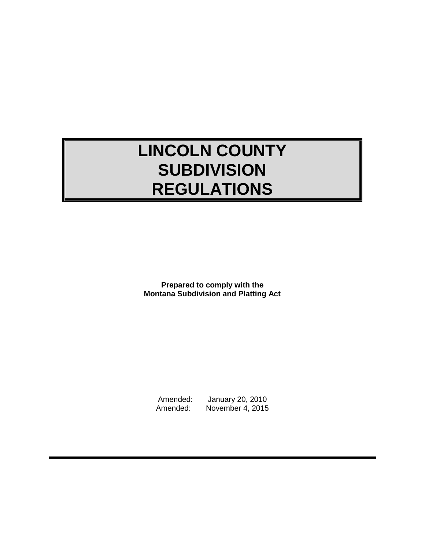# **LINCOLN COUNTY SUBDIVISION REGULATIONS**

**Prepared to comply with the Montana Subdivision and Platting Act**

Amended: January 20, 2010 Amended: November 4, 2015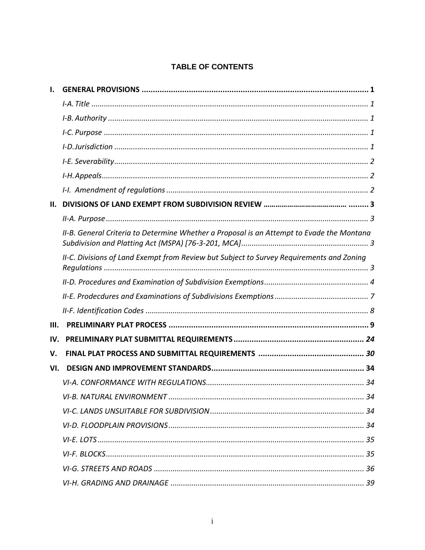# TABLE OF CONTENTS

| П.   |                                                                                           |
|------|-------------------------------------------------------------------------------------------|
|      |                                                                                           |
|      | II-B. General Criteria to Determine Whether a Proposal is an Attempt to Evade the Montana |
|      | II-C. Divisions of Land Exempt from Review but Subject to Survey Requirements and Zoning  |
|      |                                                                                           |
|      |                                                                                           |
|      |                                                                                           |
| III. |                                                                                           |
| IV.  |                                                                                           |
| V.   |                                                                                           |
| VI.  |                                                                                           |
|      |                                                                                           |
|      |                                                                                           |
|      |                                                                                           |
|      |                                                                                           |
|      |                                                                                           |
|      |                                                                                           |
|      |                                                                                           |
|      |                                                                                           |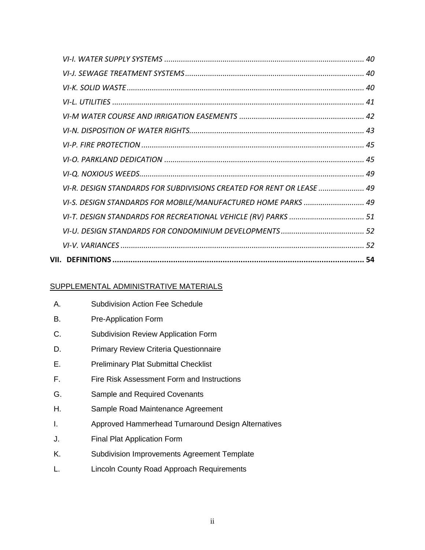| VI-I. WATER SUPPLY SYSTEMS ……………………………………………………………………………………… 40              |  |
|------------------------------------------------------------------------------|--|
|                                                                              |  |
|                                                                              |  |
|                                                                              |  |
|                                                                              |  |
|                                                                              |  |
|                                                                              |  |
|                                                                              |  |
|                                                                              |  |
| VI-R. DESIGN STANDARDS FOR SUBDIVISIONS CREATED FOR RENT OR LEASE ………………… 49 |  |
| VI-S. DESIGN STANDARDS FOR MOBILE/MANUFACTURED HOME PARKS  49                |  |
|                                                                              |  |
|                                                                              |  |
|                                                                              |  |
|                                                                              |  |

# SUPPLEMENTAL ADMINISTRATIVE MATERIALS

| А. | <b>Subdivision Action Fee Schedule</b>             |
|----|----------------------------------------------------|
| В. | <b>Pre-Application Form</b>                        |
| С. | <b>Subdivision Review Application Form</b>         |
| D. | <b>Primary Review Criteria Questionnaire</b>       |
| Е. | <b>Preliminary Plat Submittal Checklist</b>        |
| F. | Fire Risk Assessment Form and Instructions         |
| G. | <b>Sample and Required Covenants</b>               |
| Н. | Sample Road Maintenance Agreement                  |
| I. | Approved Hammerhead Turnaround Design Alternatives |
| J. | <b>Final Plat Application Form</b>                 |
| K. | <b>Subdivision Improvements Agreement Template</b> |
| L. | Lincoln County Road Approach Requirements          |
|    |                                                    |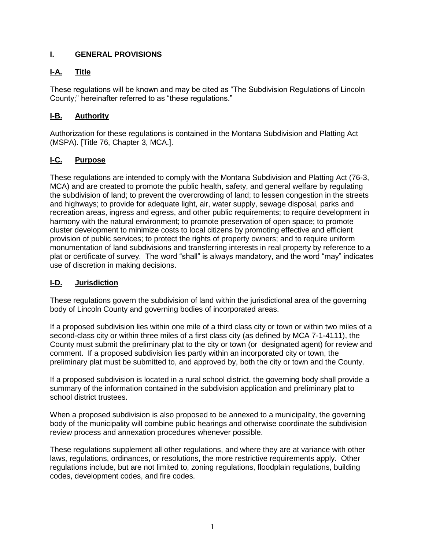# <span id="page-3-0"></span>**I. GENERAL PROVISIONS**

# <span id="page-3-1"></span>**I-A. Title**

These regulations will be known and may be cited as "The Subdivision Regulations of Lincoln County;" hereinafter referred to as "these regulations."

# <span id="page-3-2"></span>**I-B. Authority**

Authorization for these regulations is contained in the Montana Subdivision and Platting Act (MSPA). [Title 76, Chapter 3, MCA.].

# <span id="page-3-3"></span>**I-C. Purpose**

These regulations are intended to comply with the Montana Subdivision and Platting Act (76-3, MCA) and are created to promote the public health, safety, and general welfare by regulating the subdivision of land; to prevent the overcrowding of land; to lessen congestion in the streets and highways; to provide for adequate light, air, water supply, sewage disposal, parks and recreation areas, ingress and egress, and other public requirements; to require development in harmony with the natural environment; to promote preservation of open space; to promote cluster development to minimize costs to local citizens by promoting effective and efficient provision of public services; to protect the rights of property owners; and to require uniform monumentation of land subdivisions and transferring interests in real property by reference to a plat or certificate of survey. The word "shall" is always mandatory, and the word "may" indicates use of discretion in making decisions.

# <span id="page-3-4"></span>**I-D. Jurisdiction**

These regulations govern the subdivision of land within the jurisdictional area of the governing body of Lincoln County and governing bodies of incorporated areas.

If a proposed subdivision lies within one mile of a third class city or town or within two miles of a second-class city or within three miles of a first class city (as defined by MCA 7-1-4111), the County must submit the preliminary plat to the city or town (or designated agent) for review and comment. If a proposed subdivision lies partly within an incorporated city or town, the preliminary plat must be submitted to, and approved by, both the city or town and the County.

If a proposed subdivision is located in a rural school district, the governing body shall provide a summary of the information contained in the subdivision application and preliminary plat to school district trustees.

When a proposed subdivision is also proposed to be annexed to a municipality, the governing body of the municipality will combine public hearings and otherwise coordinate the subdivision review process and annexation procedures whenever possible.

<span id="page-3-5"></span>These regulations supplement all other regulations, and where they are at variance with other laws, regulations, ordinances, or resolutions, the more restrictive requirements apply. Other regulations include, but are not limited to, zoning regulations, floodplain regulations, building codes, development codes, and fire codes.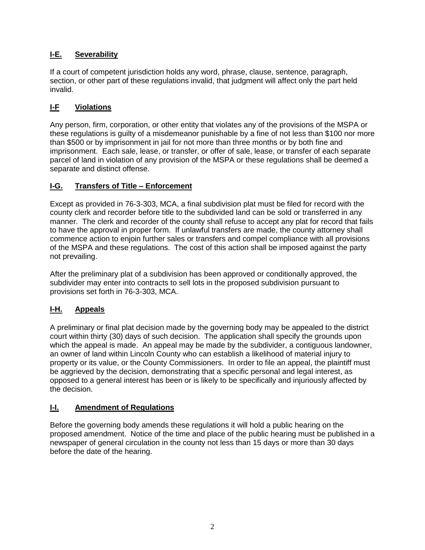# **I-E. Severability**

If a court of competent jurisdiction holds any word, phrase, clause, sentence, paragraph, section, or other part of these regulations invalid, that judgment will affect only the part held invalid.

# **I-F Violations**

Any person, firm, corporation, or other entity that violates any of the provisions of the MSPA or these regulations is guilty of a misdemeanor punishable by a fine of not less than \$100 nor more than \$500 or by imprisonment in jail for not more than three months or by both fine and imprisonment. Each sale, lease, or transfer, or offer of sale, lease, or transfer of each separate parcel of land in violation of any provision of the MSPA or these regulations shall be deemed a separate and distinct offense.

# **I-G. Transfers of Title – Enforcement**

Except as provided in 76-3-303, MCA, a final subdivision plat must be filed for record with the county clerk and recorder before title to the subdivided land can be sold or transferred in any manner. The clerk and recorder of the county shall refuse to accept any plat for record that fails to have the approval in proper form. If unlawful transfers are made, the county attorney shall commence action to enjoin further sales or transfers and compel compliance with all provisions of the MSPA and these regulations. The cost of this action shall be imposed against the party not prevailing.

After the preliminary plat of a subdivision has been approved or conditionally approved, the subdivider may enter into contracts to sell lots in the proposed subdivision pursuant to provisions set forth in 76-3-303, MCA.

# <span id="page-4-0"></span>**I-H. Appeals**

A preliminary or final plat decision made by the governing body may be appealed to the district court within thirty (30) days of such decision. The application shall specify the grounds upon which the appeal is made. An appeal may be made by the subdivider, a contiguous landowner, an owner of land within Lincoln County who can establish a likelihood of material injury to property or its value, or the County Commissioners. In order to file an appeal, the plaintiff must be aggrieved by the decision, demonstrating that a specific personal and legal interest, as opposed to a general interest has been or is likely to be specifically and injuriously affected by the decision.

# <span id="page-4-1"></span>**I-I. Amendment of Regulations**

Before the governing body amends these regulations it will hold a public hearing on the proposed amendment. Notice of the time and place of the public hearing must be published in a newspaper of general circulation in the county not less than 15 days or more than 30 days before the date of the hearing.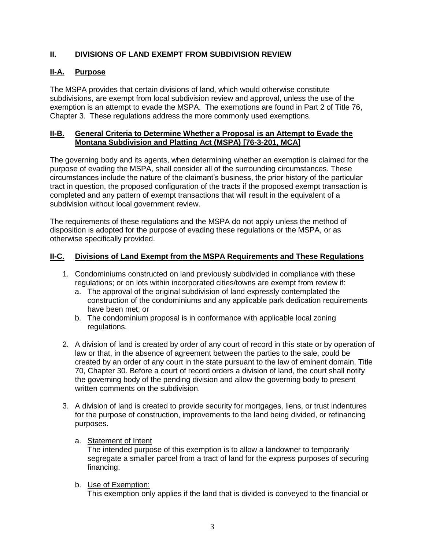# **II. DIVISIONS OF LAND EXEMPT FROM SUBDIVISION REVIEW**

# <span id="page-5-0"></span>**II-A. Purpose**

The MSPA provides that certain divisions of land, which would otherwise constitute subdivisions, are exempt from local subdivision review and approval, unless the use of the exemption is an attempt to evade the MSPA. The exemptions are found in Part 2 of Title 76, Chapter 3. These regulations address the more commonly used exemptions.

## <span id="page-5-1"></span>**II-B. General Criteria to Determine Whether a Proposal is an Attempt to Evade the Montana Subdivision and Platting Act (MSPA) [76-3-201, MCA]**

The governing body and its agents, when determining whether an exemption is claimed for the purpose of evading the MSPA, shall consider all of the surrounding circumstances. These circumstances include the nature of the claimant's business, the prior history of the particular tract in question, the proposed configuration of the tracts if the proposed exempt transaction is completed and any pattern of exempt transactions that will result in the equivalent of a subdivision without local government review.

The requirements of these regulations and the MSPA do not apply unless the method of disposition is adopted for the purpose of evading these regulations or the MSPA, or as otherwise specifically provided.

## **II-C. Divisions of Land Exempt from the MSPA Requirements and These Regulations**

- 1. Condominiums constructed on land previously subdivided in compliance with these regulations; or on lots within incorporated cities/towns are exempt from review if:
	- a. The approval of the original subdivision of land expressly contemplated the construction of the condominiums and any applicable park dedication requirements have been met; or
	- b. The condominium proposal is in conformance with applicable local zoning regulations.
- 2. A division of land is created by order of any court of record in this state or by operation of law or that, in the absence of agreement between the parties to the sale, could be created by an order of any court in the state pursuant to the law of eminent domain, Title 70, Chapter 30. Before a court of record orders a division of land, the court shall notify the governing body of the pending division and allow the governing body to present written comments on the subdivision.
- 3. A division of land is created to provide security for mortgages, liens, or trust indentures for the purpose of construction, improvements to the land being divided, or refinancing purposes.
	- a. Statement of Intent

The intended purpose of this exemption is to allow a landowner to temporarily segregate a smaller parcel from a tract of land for the express purposes of securing financing.

b. Use of Exemption:

This exemption only applies if the land that is divided is conveyed to the financial or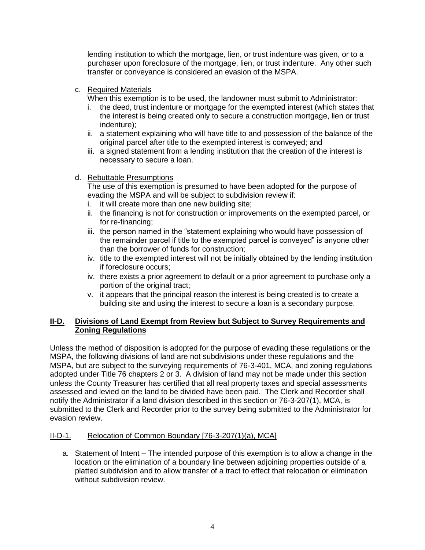lending institution to which the mortgage, lien, or trust indenture was given, or to a purchaser upon foreclosure of the mortgage, lien, or trust indenture. Any other such transfer or conveyance is considered an evasion of the MSPA.

## c. Required Materials

When this exemption is to be used, the landowner must submit to Administrator:

- i. the deed, trust indenture or mortgage for the exempted interest (which states that the interest is being created only to secure a construction mortgage, lien or trust indenture);
- ii. a statement explaining who will have title to and possession of the balance of the original parcel after title to the exempted interest is conveyed; and
- iii. a signed statement from a lending institution that the creation of the interest is necessary to secure a loan.

## d. Rebuttable Presumptions

The use of this exemption is presumed to have been adopted for the purpose of evading the MSPA and will be subject to subdivision review if:

- i. it will create more than one new building site;
- ii. the financing is not for construction or improvements on the exempted parcel, or for re-financing;
- iii. the person named in the "statement explaining who would have possession of the remainder parcel if title to the exempted parcel is conveyed" is anyone other than the borrower of funds for construction;
- iv. title to the exempted interest will not be initially obtained by the lending institution if foreclosure occurs;
- iv. there exists a prior agreement to default or a prior agreement to purchase only a portion of the original tract;
- v. it appears that the principal reason the interest is being created is to create a building site and using the interest to secure a loan is a secondary purpose.

## <span id="page-6-0"></span>**II-D. Divisions of Land Exempt from Review but Subject to Survey Requirements and Zoning Regulations**

Unless the method of disposition is adopted for the purpose of evading these regulations or the MSPA, the following divisions of land are not subdivisions under these regulations and the MSPA, but are subject to the surveying requirements of 76-3-401, MCA, and zoning regulations adopted under Title 76 chapters 2 or 3. A division of land may not be made under this section unless the County Treasurer has certified that all real property taxes and special assessments assessed and levied on the land to be divided have been paid. The Clerk and Recorder shall notify the Administrator if a land division described in this section or 76-3-207(1), MCA, is submitted to the Clerk and Recorder prior to the survey being submitted to the Administrator for evasion review.

# II-D-1. Relocation of Common Boundary [76-3-207(1)(a), MCA]

a. Statement of Intent – The intended purpose of this exemption is to allow a change in the location or the elimination of a boundary line between adjoining properties outside of a platted subdivision and to allow transfer of a tract to effect that relocation or elimination without subdivision review.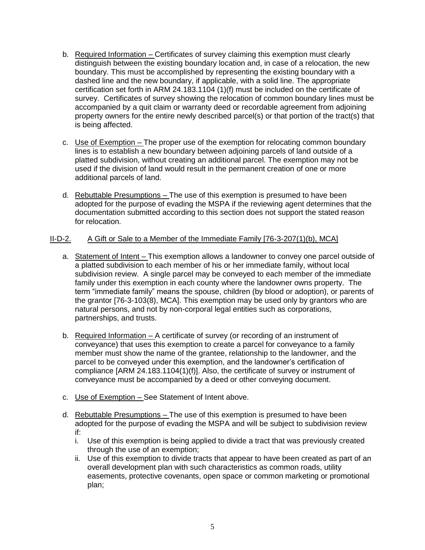- b. Required Information Certificates of survey claiming this exemption must clearly distinguish between the existing boundary location and, in case of a relocation, the new boundary. This must be accomplished by representing the existing boundary with a dashed line and the new boundary, if applicable, with a solid line. The appropriate certification set forth in ARM 24.183.1104 (1)(f) must be included on the certificate of survey. Certificates of survey showing the relocation of common boundary lines must be accompanied by a quit claim or warranty deed or recordable agreement from adjoining property owners for the entire newly described parcel(s) or that portion of the tract(s) that is being affected.
- c. Use of Exemption The proper use of the exemption for relocating common boundary lines is to establish a new boundary between adjoining parcels of land outside of a platted subdivision, without creating an additional parcel. The exemption may not be used if the division of land would result in the permanent creation of one or more additional parcels of land.
- d. Rebuttable Presumptions The use of this exemption is presumed to have been adopted for the purpose of evading the MSPA if the reviewing agent determines that the documentation submitted according to this section does not support the stated reason for relocation.

## II-D-2. A Gift or Sale to a Member of the Immediate Family [76-3-207(1)(b), MCA]

- a. Statement of Intent This exemption allows a landowner to convey one parcel outside of a platted subdivision to each member of his or her immediate family, without local subdivision review. A single parcel may be conveyed to each member of the immediate family under this exemption in each county where the landowner owns property. The term "immediate family" means the spouse, children (by blood or adoption), or parents of the grantor [76-3-103(8), MCA]. This exemption may be used only by grantors who are natural persons, and not by non-corporal legal entities such as corporations, partnerships, and trusts.
- b. Required Information A certificate of survey (or recording of an instrument of conveyance) that uses this exemption to create a parcel for conveyance to a family member must show the name of the grantee, relationship to the landowner, and the parcel to be conveyed under this exemption, and the landowner's certification of compliance [ARM 24.183.1104(1)(f)]. Also, the certificate of survey or instrument of conveyance must be accompanied by a deed or other conveying document.
- c. Use of Exemption See Statement of Intent above.
- d. Rebuttable Presumptions The use of this exemption is presumed to have been adopted for the purpose of evading the MSPA and will be subject to subdivision review if:
	- i. Use of this exemption is being applied to divide a tract that was previously created through the use of an exemption;
	- ii. Use of this exemption to divide tracts that appear to have been created as part of an overall development plan with such characteristics as common roads, utility easements, protective covenants, open space or common marketing or promotional plan;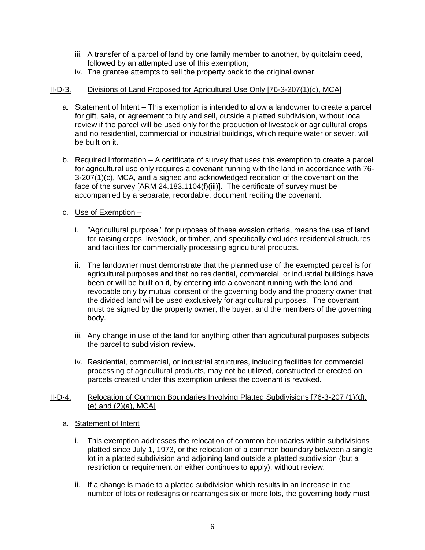- iii. A transfer of a parcel of land by one family member to another, by quitclaim deed, followed by an attempted use of this exemption;
- iv. The grantee attempts to sell the property back to the original owner.

## II-D-3. Divisions of Land Proposed for Agricultural Use Only [76-3-207(1)(c), MCA]

- a. Statement of Intent This exemption is intended to allow a landowner to create a parcel for gift, sale, or agreement to buy and sell, outside a platted subdivision, without local review if the parcel will be used only for the production of livestock or agricultural crops and no residential, commercial or industrial buildings, which require water or sewer, will be built on it.
- b. Required Information A certificate of survey that uses this exemption to create a parcel for agricultural use only requires a covenant running with the land in accordance with 76- 3-207(1)(c), MCA, and a signed and acknowledged recitation of the covenant on the face of the survey [ARM 24.183.1104(f)(iii)]. The certificate of survey must be accompanied by a separate, recordable, document reciting the covenant.
- c. Use of Exemption
	- i. "Agricultural purpose," for purposes of these evasion criteria, means the use of land for raising crops, livestock, or timber, and specifically excludes residential structures and facilities for commercially processing agricultural products.
	- ii. The landowner must demonstrate that the planned use of the exempted parcel is for agricultural purposes and that no residential, commercial, or industrial buildings have been or will be built on it, by entering into a covenant running with the land and revocable only by mutual consent of the governing body and the property owner that the divided land will be used exclusively for agricultural purposes. The covenant must be signed by the property owner, the buyer, and the members of the governing body.
	- iii. Any change in use of the land for anything other than agricultural purposes subjects the parcel to subdivision review.
	- iv. Residential, commercial, or industrial structures, including facilities for commercial processing of agricultural products, may not be utilized, constructed or erected on parcels created under this exemption unless the covenant is revoked.

#### II-D-4. Relocation of Common Boundaries Involving Platted Subdivisions [76-3-207 (1)(d),  $(e)$  and  $(2)(a)$ . MCAl

- a. Statement of Intent
	- i. This exemption addresses the relocation of common boundaries within subdivisions platted since July 1, 1973, or the relocation of a common boundary between a single lot in a platted subdivision and adjoining land outside a platted subdivision (but a restriction or requirement on either continues to apply), without review.
	- ii. If a change is made to a platted subdivision which results in an increase in the number of lots or redesigns or rearranges six or more lots, the governing body must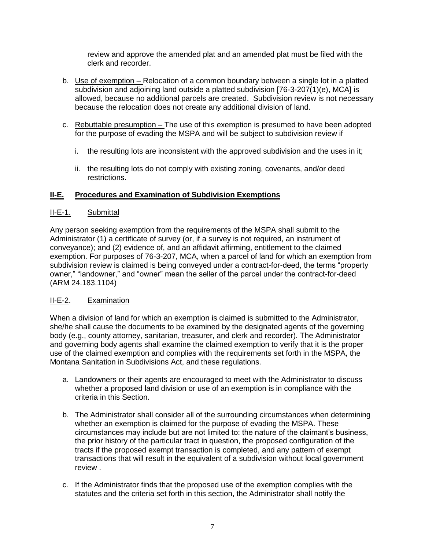review and approve the amended plat and an amended plat must be filed with the clerk and recorder.

- b. Use of exemption Relocation of a common boundary between a single lot in a platted subdivision and adjoining land outside a platted subdivision [76-3-207(1)(e), MCA] is allowed, because no additional parcels are created. Subdivision review is not necessary because the relocation does not create any additional division of land.
- c. Rebuttable presumption The use of this exemption is presumed to have been adopted for the purpose of evading the MSPA and will be subject to subdivision review if
	- i. the resulting lots are inconsistent with the approved subdivision and the uses in it;
	- ii. the resulting lots do not comply with existing zoning, covenants, and/or deed restrictions.

## <span id="page-9-0"></span>**II-E. Procedures and Examination of Subdivision Exemptions**

## II-E-1. Submittal

Any person seeking exemption from the requirements of the MSPA shall submit to the Administrator (1) a certificate of survey (or, if a survey is not required, an instrument of conveyance); and (2) evidence of, and an affidavit affirming, entitlement to the claimed exemption. For purposes of 76-3-207, MCA, when a parcel of land for which an exemption from subdivision review is claimed is being conveyed under a contract-for-deed, the terms "property owner," "landowner," and "owner" mean the seller of the parcel under the contract-for-deed (ARM 24.183.1104)

## II-E-2. Examination

When a division of land for which an exemption is claimed is submitted to the Administrator, she/he shall cause the documents to be examined by the designated agents of the governing body (e.g., county attorney, sanitarian, treasurer, and clerk and recorder). The Administrator and governing body agents shall examine the claimed exemption to verify that it is the proper use of the claimed exemption and complies with the requirements set forth in the MSPA, the Montana Sanitation in Subdivisions Act, and these regulations.

- a. Landowners or their agents are encouraged to meet with the Administrator to discuss whether a proposed land division or use of an exemption is in compliance with the criteria in this Section.
- b. The Administrator shall consider all of the surrounding circumstances when determining whether an exemption is claimed for the purpose of evading the MSPA. These circumstances may include but are not limited to: the nature of the claimant's business, the prior history of the particular tract in question, the proposed configuration of the tracts if the proposed exempt transaction is completed, and any pattern of exempt transactions that will result in the equivalent of a subdivision without local government review .
- c. If the Administrator finds that the proposed use of the exemption complies with the statutes and the criteria set forth in this section, the Administrator shall notify the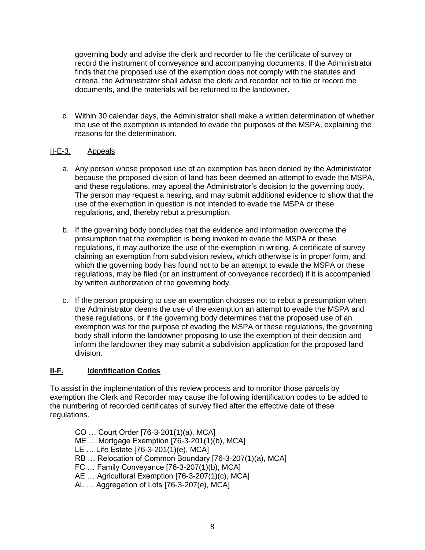governing body and advise the clerk and recorder to file the certificate of survey or record the instrument of conveyance and accompanying documents. If the Administrator finds that the proposed use of the exemption does not comply with the statutes and criteria, the Administrator shall advise the clerk and recorder not to file or record the documents, and the materials will be returned to the landowner.

d. Within 30 calendar days, the Administrator shall make a written determination of whether the use of the exemption is intended to evade the purposes of the MSPA, explaining the reasons for the determination.

## II-E-3. Appeals

- a. Any person whose proposed use of an exemption has been denied by the Administrator because the proposed division of land has been deemed an attempt to evade the MSPA, and these regulations, may appeal the Administrator's decision to the governing body. The person may request a hearing, and may submit additional evidence to show that the use of the exemption in question is not intended to evade the MSPA or these regulations, and, thereby rebut a presumption.
- b. If the governing body concludes that the evidence and information overcome the presumption that the exemption is being invoked to evade the MSPA or these regulations, it may authorize the use of the exemption in writing. A certificate of survey claiming an exemption from subdivision review, which otherwise is in proper form, and which the governing body has found not to be an attempt to evade the MSPA or these regulations, may be filed (or an instrument of conveyance recorded) if it is accompanied by written authorization of the governing body.
- c. If the person proposing to use an exemption chooses not to rebut a presumption when the Administrator deems the use of the exemption an attempt to evade the MSPA and these regulations, or if the governing body determines that the proposed use of an exemption was for the purpose of evading the MSPA or these regulations, the governing body shall inform the landowner proposing to use the exemption of their decision and inform the landowner they may submit a subdivision application for the proposed land division.

## <span id="page-10-0"></span>**II-F. Identification Codes**

To assist in the implementation of this review process and to monitor those parcels by exemption the Clerk and Recorder may cause the following identification codes to be added to the numbering of recorded certificates of survey filed after the effective date of these regulations.

- CO … Court Order [76-3-201(1)(a), MCA]
- ME … Mortgage Exemption [76-3-201(1)(b), MCA]
- LE … Life Estate [76-3-201(1)(e), MCA]
- RB … Relocation of Common Boundary [76-3-207(1)(a), MCA]
- FC … Family Conveyance [76-3-207(1)(b), MCA]
- AE ... Agricultural Exemption [76-3-207(1)(c), MCA]
- AL … Aggregation of Lots [76-3-207(e), MCA]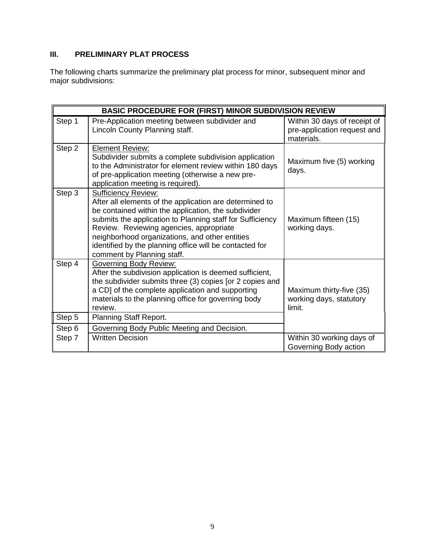# <span id="page-11-0"></span>**III. PRELIMINARY PLAT PROCESS**

The following charts summarize the preliminary plat process for minor, subsequent minor and major subdivisions:

| <b>BASIC PROCEDURE FOR (FIRST) MINOR SUBDIVISION REVIEW</b> |                                                                                                                                                                                                                                                                                                                                                                                                 |                                                                           |  |
|-------------------------------------------------------------|-------------------------------------------------------------------------------------------------------------------------------------------------------------------------------------------------------------------------------------------------------------------------------------------------------------------------------------------------------------------------------------------------|---------------------------------------------------------------------------|--|
| Step 1                                                      | Pre-Application meeting between subdivider and<br>Lincoln County Planning staff.                                                                                                                                                                                                                                                                                                                | Within 30 days of receipt of<br>pre-application request and<br>materials. |  |
| Step 2                                                      | <b>Element Review:</b><br>Subdivider submits a complete subdivision application<br>to the Administrator for element review within 180 days<br>of pre-application meeting (otherwise a new pre-<br>application meeting is required).                                                                                                                                                             | Maximum five (5) working<br>days.                                         |  |
| Step 3                                                      | <b>Sufficiency Review:</b><br>After all elements of the application are determined to<br>be contained within the application, the subdivider<br>submits the application to Planning staff for Sufficiency<br>Review. Reviewing agencies, appropriate<br>neighborhood organizations, and other entities<br>identified by the planning office will be contacted for<br>comment by Planning staff. | Maximum fifteen (15)<br>working days.                                     |  |
| Step 4                                                      | <b>Governing Body Review:</b><br>After the subdivision application is deemed sufficient,<br>the subdivider submits three (3) copies [or 2 copies and<br>a CD] of the complete application and supporting<br>materials to the planning office for governing body<br>review.                                                                                                                      | Maximum thirty-five (35)<br>working days, statutory<br>limit.             |  |
| Step 5                                                      | Planning Staff Report.                                                                                                                                                                                                                                                                                                                                                                          |                                                                           |  |
| Step 6                                                      | Governing Body Public Meeting and Decision.                                                                                                                                                                                                                                                                                                                                                     |                                                                           |  |
| Step 7                                                      | <b>Written Decision</b>                                                                                                                                                                                                                                                                                                                                                                         | Within 30 working days of<br>Governing Body action                        |  |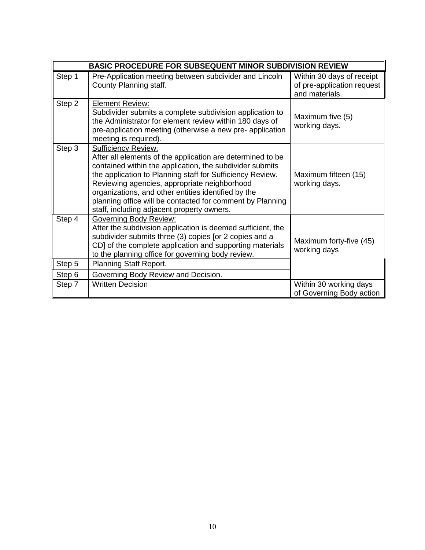| <b>BASIC PROCEDURE FOR SUBSEQUENT MINOR SUBDIVISION REVIEW</b> |                                                                                                                                                                                                                                                                                                                                                                                                                                     |                                                                           |  |
|----------------------------------------------------------------|-------------------------------------------------------------------------------------------------------------------------------------------------------------------------------------------------------------------------------------------------------------------------------------------------------------------------------------------------------------------------------------------------------------------------------------|---------------------------------------------------------------------------|--|
| Step 1                                                         | Pre-Application meeting between subdivider and Lincoln<br>County Planning staff.                                                                                                                                                                                                                                                                                                                                                    | Within 30 days of receipt<br>of pre-application request<br>and materials. |  |
| Step 2                                                         | <b>Element Review:</b><br>Subdivider submits a complete subdivision application to<br>the Administrator for element review within 180 days of<br>pre-application meeting (otherwise a new pre- application<br>meeting is required).                                                                                                                                                                                                 | Maximum five (5)<br>working days.                                         |  |
| Step 3                                                         | <b>Sufficiency Review:</b><br>After all elements of the application are determined to be<br>contained within the application, the subdivider submits<br>the application to Planning staff for Sufficiency Review.<br>Reviewing agencies, appropriate neighborhood<br>organizations, and other entities identified by the<br>planning office will be contacted for comment by Planning<br>staff, including adjacent property owners. | Maximum fifteen (15)<br>working days.                                     |  |
| Step 4                                                         | <b>Governing Body Review:</b><br>After the subdivision application is deemed sufficient, the<br>subdivider submits three (3) copies [or 2 copies and a<br>CD] of the complete application and supporting materials<br>to the planning office for governing body review.                                                                                                                                                             | Maximum forty-five (45)<br>working days                                   |  |
| Step 5                                                         | Planning Staff Report.                                                                                                                                                                                                                                                                                                                                                                                                              |                                                                           |  |
| Step 6                                                         | Governing Body Review and Decision.                                                                                                                                                                                                                                                                                                                                                                                                 |                                                                           |  |
| Step 7                                                         | <b>Written Decision</b>                                                                                                                                                                                                                                                                                                                                                                                                             | Within 30 working days<br>of Governing Body action                        |  |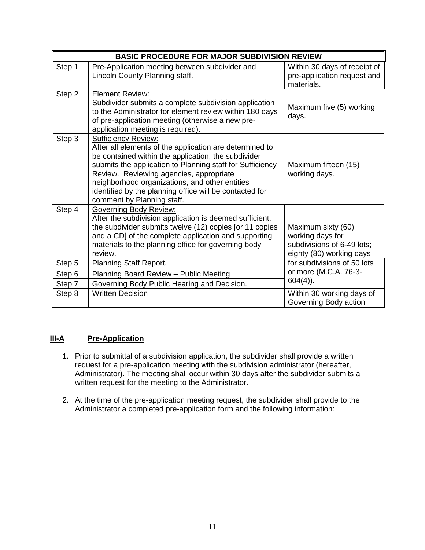| <b>BASIC PROCEDURE FOR MAJOR SUBDIVISION REVIEW</b> |                                                                                                                                                                                                                                                                                                                                                                                                 |                                                                                                  |  |
|-----------------------------------------------------|-------------------------------------------------------------------------------------------------------------------------------------------------------------------------------------------------------------------------------------------------------------------------------------------------------------------------------------------------------------------------------------------------|--------------------------------------------------------------------------------------------------|--|
| Step 1                                              | Pre-Application meeting between subdivider and<br>Lincoln County Planning staff.                                                                                                                                                                                                                                                                                                                | Within 30 days of receipt of<br>pre-application request and<br>materials.                        |  |
| Step 2                                              | <b>Element Review:</b><br>Subdivider submits a complete subdivision application<br>to the Administrator for element review within 180 days<br>of pre-application meeting (otherwise a new pre-<br>application meeting is required).                                                                                                                                                             | Maximum five (5) working<br>days.                                                                |  |
| Step 3                                              | <b>Sufficiency Review:</b><br>After all elements of the application are determined to<br>be contained within the application, the subdivider<br>submits the application to Planning staff for Sufficiency<br>Review. Reviewing agencies, appropriate<br>neighborhood organizations, and other entities<br>identified by the planning office will be contacted for<br>comment by Planning staff. | Maximum fifteen (15)<br>working days.                                                            |  |
| Step 4                                              | <b>Governing Body Review:</b><br>After the subdivision application is deemed sufficient,<br>the subdivider submits twelve (12) copies [or 11 copies<br>and a CD] of the complete application and supporting<br>materials to the planning office for governing body<br>review.                                                                                                                   | Maximum sixty (60)<br>working days for<br>subdivisions of 6-49 lots;<br>eighty (80) working days |  |
| Step 5                                              | Planning Staff Report.                                                                                                                                                                                                                                                                                                                                                                          | for subdivisions of 50 lots                                                                      |  |
| Step 6                                              | Planning Board Review - Public Meeting                                                                                                                                                                                                                                                                                                                                                          | or more (M.C.A. 76-3-<br>$604(4)$ ).                                                             |  |
| Step 7                                              | Governing Body Public Hearing and Decision.                                                                                                                                                                                                                                                                                                                                                     |                                                                                                  |  |
| Step 8                                              | <b>Written Decision</b>                                                                                                                                                                                                                                                                                                                                                                         | Within 30 working days of<br>Governing Body action                                               |  |

## **III-A Pre-Application**

- 1. Prior to submittal of a subdivision application, the subdivider shall provide a written request for a pre-application meeting with the subdivision administrator (hereafter, Administrator). The meeting shall occur within 30 days after the subdivider submits a written request for the meeting to the Administrator.
- 2. At the time of the pre-application meeting request, the subdivider shall provide to the Administrator a completed pre-application form and the following information: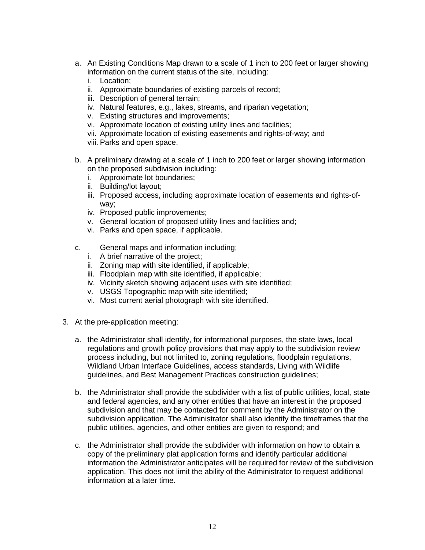- a. An Existing Conditions Map drawn to a scale of 1 inch to 200 feet or larger showing information on the current status of the site, including:
	- i. Location;
	- ii. Approximate boundaries of existing parcels of record;
	- iii. Description of general terrain;
	- iv. Natural features, e.g., lakes, streams, and riparian vegetation;
	- v. Existing structures and improvements;
	- vi. Approximate location of existing utility lines and facilities;
	- vii. Approximate location of existing easements and rights-of-way; and
	- viii. Parks and open space.
- b. A preliminary drawing at a scale of 1 inch to 200 feet or larger showing information on the proposed subdivision including:
	- i. Approximate lot boundaries;
	- ii. Building/lot layout;
	- iii. Proposed access, including approximate location of easements and rights-ofway;
	- iv. Proposed public improvements;
	- v. General location of proposed utility lines and facilities and;
	- vi. Parks and open space, if applicable.
- c. General maps and information including;
	- i. A brief narrative of the project;
	- ii. Zoning map with site identified, if applicable;
	- iii. Floodplain map with site identified, if applicable;
	- iv. Vicinity sketch showing adjacent uses with site identified;
	- v. USGS Topographic map with site identified;
	- vi. Most current aerial photograph with site identified.
- 3. At the pre-application meeting:
	- a. the Administrator shall identify, for informational purposes, the state laws, local regulations and growth policy provisions that may apply to the subdivision review process including, but not limited to, zoning regulations, floodplain regulations, Wildland Urban Interface Guidelines, access standards, Living with Wildlife guidelines, and Best Management Practices construction guidelines;
	- b. the Administrator shall provide the subdivider with a list of public utilities, local, state and federal agencies, and any other entities that have an interest in the proposed subdivision and that may be contacted for comment by the Administrator on the subdivision application. The Administrator shall also identify the timeframes that the public utilities, agencies, and other entities are given to respond; and
	- c. the Administrator shall provide the subdivider with information on how to obtain a copy of the preliminary plat application forms and identify particular additional information the Administrator anticipates will be required for review of the subdivision application. This does not limit the ability of the Administrator to request additional information at a later time.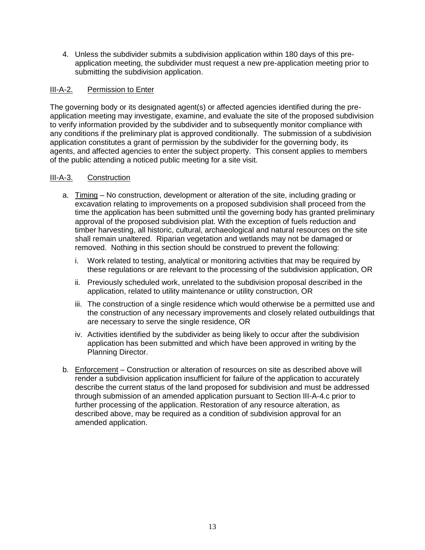4. Unless the subdivider submits a subdivision application within 180 days of this preapplication meeting, the subdivider must request a new pre-application meeting prior to submitting the subdivision application.

## III-A-2. Permission to Enter

The governing body or its designated agent(s) or affected agencies identified during the preapplication meeting may investigate, examine, and evaluate the site of the proposed subdivision to verify information provided by the subdivider and to subsequently monitor compliance with any conditions if the preliminary plat is approved conditionally. The submission of a subdivision application constitutes a grant of permission by the subdivider for the governing body, its agents, and affected agencies to enter the subject property. This consent applies to members of the public attending a noticed public meeting for a site visit.

## III-A-3. Construction

- a. Timing No construction, development or alteration of the site, including grading or excavation relating to improvements on a proposed subdivision shall proceed from the time the application has been submitted until the governing body has granted preliminary approval of the proposed subdivision plat. With the exception of fuels reduction and timber harvesting, all historic, cultural, archaeological and natural resources on the site shall remain unaltered. Riparian vegetation and wetlands may not be damaged or removed. Nothing in this section should be construed to prevent the following:
	- i. Work related to testing, analytical or monitoring activities that may be required by these regulations or are relevant to the processing of the subdivision application, OR
	- ii. Previously scheduled work, unrelated to the subdivision proposal described in the application, related to utility maintenance or utility construction, OR
	- iii. The construction of a single residence which would otherwise be a permitted use and the construction of any necessary improvements and closely related outbuildings that are necessary to serve the single residence, OR
	- iv. Activities identified by the subdivider as being likely to occur after the subdivision application has been submitted and which have been approved in writing by the Planning Director.
- b. Enforcement Construction or alteration of resources on site as described above will render a subdivision application insufficient for failure of the application to accurately describe the current status of the land proposed for subdivision and must be addressed through submission of an amended application pursuant to Section III-A-4.c prior to further processing of the application. Restoration of any resource alteration, as described above, may be required as a condition of subdivision approval for an amended application.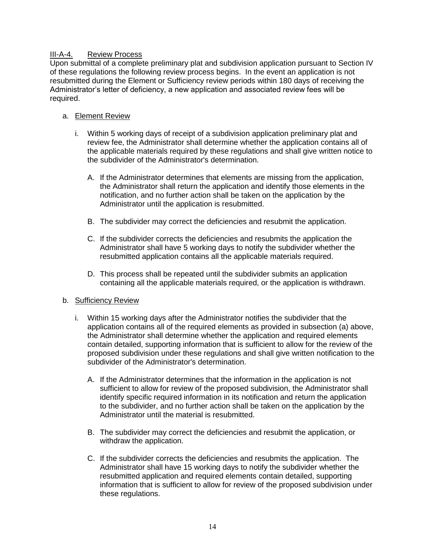## III-A-4. Review Process

Upon submittal of a complete preliminary plat and subdivision application pursuant to Section IV of these regulations the following review process begins. In the event an application is not resubmitted during the Element or Sufficiency review periods within 180 days of receiving the Administrator's letter of deficiency, a new application and associated review fees will be required.

## a. Element Review

- i. Within 5 working days of receipt of a subdivision application preliminary plat and review fee, the Administrator shall determine whether the application contains all of the applicable materials required by these regulations and shall give written notice to the subdivider of the Administrator's determination.
	- A. If the Administrator determines that elements are missing from the application, the Administrator shall return the application and identify those elements in the notification, and no further action shall be taken on the application by the Administrator until the application is resubmitted.
	- B. The subdivider may correct the deficiencies and resubmit the application.
	- C. If the subdivider corrects the deficiencies and resubmits the application the Administrator shall have 5 working days to notify the subdivider whether the resubmitted application contains all the applicable materials required.
	- D. This process shall be repeated until the subdivider submits an application containing all the applicable materials required, or the application is withdrawn.

## b. Sufficiency Review

- i. Within 15 working days after the Administrator notifies the subdivider that the application contains all of the required elements as provided in subsection (a) above, the Administrator shall determine whether the application and required elements contain detailed, supporting information that is sufficient to allow for the review of the proposed subdivision under these regulations and shall give written notification to the subdivider of the Administrator's determination.
	- A. If the Administrator determines that the information in the application is not sufficient to allow for review of the proposed subdivision, the Administrator shall identify specific required information in its notification and return the application to the subdivider, and no further action shall be taken on the application by the Administrator until the material is resubmitted.
	- B. The subdivider may correct the deficiencies and resubmit the application, or withdraw the application.
	- C. If the subdivider corrects the deficiencies and resubmits the application. The Administrator shall have 15 working days to notify the subdivider whether the resubmitted application and required elements contain detailed, supporting information that is sufficient to allow for review of the proposed subdivision under these regulations.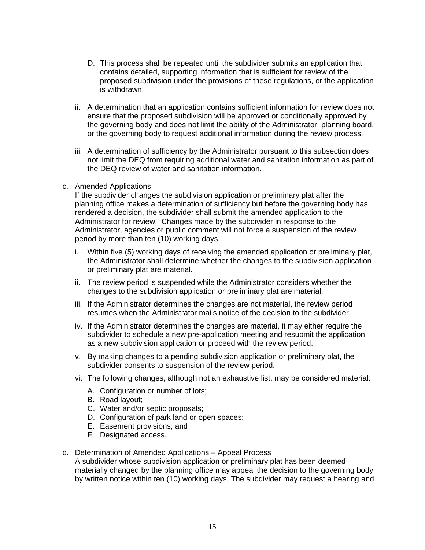- D. This process shall be repeated until the subdivider submits an application that contains detailed, supporting information that is sufficient for review of the proposed subdivision under the provisions of these regulations, or the application is withdrawn.
- ii. A determination that an application contains sufficient information for review does not ensure that the proposed subdivision will be approved or conditionally approved by the governing body and does not limit the ability of the Administrator, planning board, or the governing body to request additional information during the review process.
- iii. A determination of sufficiency by the Administrator pursuant to this subsection does not limit the DEQ from requiring additional water and sanitation information as part of the DEQ review of water and sanitation information.
- c. Amended Applications

If the subdivider changes the subdivision application or preliminary plat after the planning office makes a determination of sufficiency but before the governing body has rendered a decision, the subdivider shall submit the amended application to the Administrator for review. Changes made by the subdivider in response to the Administrator, agencies or public comment will not force a suspension of the review period by more than ten (10) working days.

- i. Within five (5) working days of receiving the amended application or preliminary plat, the Administrator shall determine whether the changes to the subdivision application or preliminary plat are material.
- ii. The review period is suspended while the Administrator considers whether the changes to the subdivision application or preliminary plat are material.
- iii. If the Administrator determines the changes are not material, the review period resumes when the Administrator mails notice of the decision to the subdivider.
- iv. If the Administrator determines the changes are material, it may either require the subdivider to schedule a new pre-application meeting and resubmit the application as a new subdivision application or proceed with the review period.
- v. By making changes to a pending subdivision application or preliminary plat, the subdivider consents to suspension of the review period.
- vi. The following changes, although not an exhaustive list, may be considered material:
	- A. Configuration or number of lots;
	- B. Road layout;
	- C. Water and/or septic proposals;
	- D. Configuration of park land or open spaces;
	- E. Easement provisions; and
	- F. Designated access.

#### d. Determination of Amended Applications – Appeal Process

A subdivider whose subdivision application or preliminary plat has been deemed materially changed by the planning office may appeal the decision to the governing body by written notice within ten (10) working days. The subdivider may request a hearing and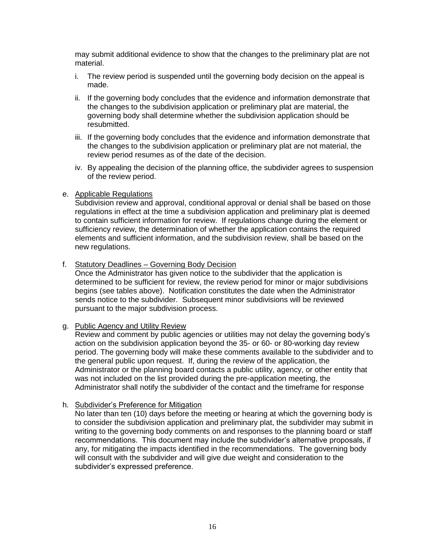may submit additional evidence to show that the changes to the preliminary plat are not material.

- i. The review period is suspended until the governing body decision on the appeal is made.
- ii. If the governing body concludes that the evidence and information demonstrate that the changes to the subdivision application or preliminary plat are material, the governing body shall determine whether the subdivision application should be resubmitted.
- iii. If the governing body concludes that the evidence and information demonstrate that the changes to the subdivision application or preliminary plat are not material, the review period resumes as of the date of the decision.
- iv. By appealing the decision of the planning office, the subdivider agrees to suspension of the review period.
- e. Applicable Regulations

Subdivision review and approval, conditional approval or denial shall be based on those regulations in effect at the time a subdivision application and preliminary plat is deemed to contain sufficient information for review. If regulations change during the element or sufficiency review, the determination of whether the application contains the required elements and sufficient information, and the subdivision review, shall be based on the new regulations.

f. Statutory Deadlines – Governing Body Decision

Once the Administrator has given notice to the subdivider that the application is determined to be sufficient for review, the review period for minor or major subdivisions begins (see tables above). Notification constitutes the date when the Administrator sends notice to the subdivider. Subsequent minor subdivisions will be reviewed pursuant to the major subdivision process.

#### g. Public Agency and Utility Review

Review and comment by public agencies or utilities may not delay the governing body's action on the subdivision application beyond the 35- or 60- or 80-working day review period. The governing body will make these comments available to the subdivider and to the general public upon request. If, during the review of the application, the Administrator or the planning board contacts a public utility, agency, or other entity that was not included on the list provided during the pre-application meeting, the Administrator shall notify the subdivider of the contact and the timeframe for response

#### h. Subdivider's Preference for Mitigation

No later than ten (10) days before the meeting or hearing at which the governing body is to consider the subdivision application and preliminary plat, the subdivider may submit in writing to the governing body comments on and responses to the planning board or staff recommendations. This document may include the subdivider's alternative proposals, if any, for mitigating the impacts identified in the recommendations. The governing body will consult with the subdivider and will give due weight and consideration to the subdivider's expressed preference.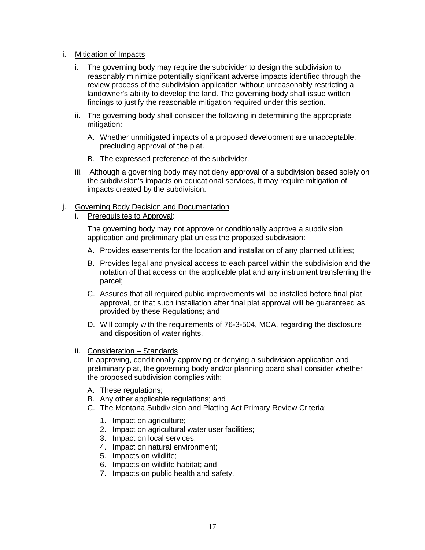## i. Mitigation of Impacts

- i. The governing body may require the subdivider to design the subdivision to reasonably minimize potentially significant adverse impacts identified through the review process of the subdivision application without unreasonably restricting a landowner's ability to develop the land. The governing body shall issue written findings to justify the reasonable mitigation required under this section.
- ii. The governing body shall consider the following in determining the appropriate mitigation:
	- A. Whether unmitigated impacts of a proposed development are unacceptable, precluding approval of the plat.
	- B. The expressed preference of the subdivider.
- iii. Although a governing body may not deny approval of a subdivision based solely on the subdivision's impacts on educational services, it may require mitigation of impacts created by the subdivision.

#### j. Governing Body Decision and Documentation

i. Prerequisites to Approval:

The governing body may not approve or conditionally approve a subdivision application and preliminary plat unless the proposed subdivision:

- A. Provides easements for the location and installation of any planned utilities;
- B. Provides legal and physical access to each parcel within the subdivision and the notation of that access on the applicable plat and any instrument transferring the parcel;
- C. Assures that all required public improvements will be installed before final plat approval, or that such installation after final plat approval will be guaranteed as provided by these Regulations; and
- D. Will comply with the requirements of 76-3-504, MCA, regarding the disclosure and disposition of water rights.
- ii. Consideration Standards

In approving, conditionally approving or denying a subdivision application and preliminary plat, the governing body and/or planning board shall consider whether the proposed subdivision complies with:

- A. These regulations;
- B. Any other applicable regulations; and
- C. The Montana Subdivision and Platting Act Primary Review Criteria:
	- 1. Impact on agriculture;
	- 2. Impact on agricultural water user facilities;
	- 3. Impact on local services;
	- 4. Impact on natural environment;
	- 5. Impacts on wildlife;
	- 6. Impacts on wildlife habitat; and
	- 7. Impacts on public health and safety.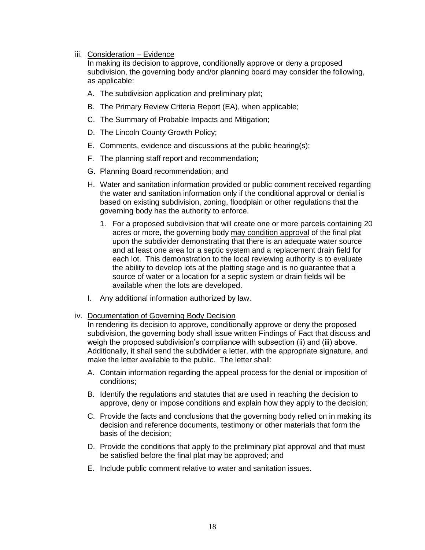#### iii. Consideration – Evidence

In making its decision to approve, conditionally approve or deny a proposed subdivision, the governing body and/or planning board may consider the following, as applicable:

- A. The subdivision application and preliminary plat;
- B. The Primary Review Criteria Report (EA), when applicable;
- C. The Summary of Probable Impacts and Mitigation;
- D. The Lincoln County Growth Policy;
- E. Comments, evidence and discussions at the public hearing(s);
- F. The planning staff report and recommendation;
- G. Planning Board recommendation; and
- H. Water and sanitation information provided or public comment received regarding the water and sanitation information only if the conditional approval or denial is based on existing subdivision, zoning, floodplain or other regulations that the governing body has the authority to enforce.
	- 1. For a proposed subdivision that will create one or more parcels containing 20 acres or more, the governing body may condition approval of the final plat upon the subdivider demonstrating that there is an adequate water source and at least one area for a septic system and a replacement drain field for each lot. This demonstration to the local reviewing authority is to evaluate the ability to develop lots at the platting stage and is no guarantee that a source of water or a location for a septic system or drain fields will be available when the lots are developed.
- I. Any additional information authorized by law.

#### iv. Documentation of Governing Body Decision

In rendering its decision to approve, conditionally approve or deny the proposed subdivision, the governing body shall issue written Findings of Fact that discuss and weigh the proposed subdivision's compliance with subsection (ii) and (iii) above. Additionally, it shall send the subdivider a letter, with the appropriate signature, and make the letter available to the public. The letter shall:

- A. Contain information regarding the appeal process for the denial or imposition of conditions;
- B. Identify the regulations and statutes that are used in reaching the decision to approve, deny or impose conditions and explain how they apply to the decision;
- C. Provide the facts and conclusions that the governing body relied on in making its decision and reference documents, testimony or other materials that form the basis of the decision;
- D. Provide the conditions that apply to the preliminary plat approval and that must be satisfied before the final plat may be approved; and
- E. Include public comment relative to water and sanitation issues.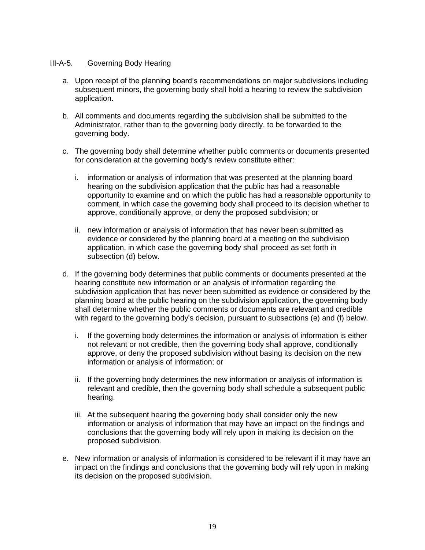## III-A-5. Governing Body Hearing

- a. Upon receipt of the planning board's recommendations on major subdivisions including subsequent minors, the governing body shall hold a hearing to review the subdivision application.
- b. All comments and documents regarding the subdivision shall be submitted to the Administrator, rather than to the governing body directly, to be forwarded to the governing body.
- c. The governing body shall determine whether public comments or documents presented for consideration at the governing body's review constitute either:
	- i. information or analysis of information that was presented at the planning board hearing on the subdivision application that the public has had a reasonable opportunity to examine and on which the public has had a reasonable opportunity to comment, in which case the governing body shall proceed to its decision whether to approve, conditionally approve, or deny the proposed subdivision; or
	- ii. new information or analysis of information that has never been submitted as evidence or considered by the planning board at a meeting on the subdivision application, in which case the governing body shall proceed as set forth in subsection (d) below.
- d. If the governing body determines that public comments or documents presented at the hearing constitute new information or an analysis of information regarding the subdivision application that has never been submitted as evidence or considered by the planning board at the public hearing on the subdivision application, the governing body shall determine whether the public comments or documents are relevant and credible with regard to the governing body's decision, pursuant to subsections (e) and (f) below.
	- i. If the governing body determines the information or analysis of information is either not relevant or not credible, then the governing body shall approve, conditionally approve, or deny the proposed subdivision without basing its decision on the new information or analysis of information; or
	- ii. If the governing body determines the new information or analysis of information is relevant and credible, then the governing body shall schedule a subsequent public hearing.
	- iii. At the subsequent hearing the governing body shall consider only the new information or analysis of information that may have an impact on the findings and conclusions that the governing body will rely upon in making its decision on the proposed subdivision.
- e. New information or analysis of information is considered to be relevant if it may have an impact on the findings and conclusions that the governing body will rely upon in making its decision on the proposed subdivision.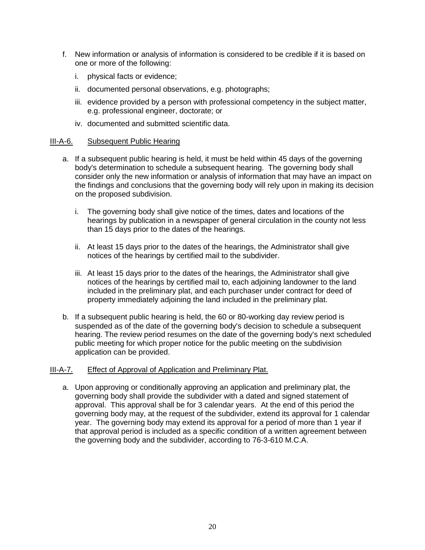- f. New information or analysis of information is considered to be credible if it is based on one or more of the following:
	- i. physical facts or evidence;
	- ii. documented personal observations, e.g. photographs;
	- iii. evidence provided by a person with professional competency in the subject matter, e.g. professional engineer, doctorate; or
	- iv. documented and submitted scientific data.

#### III-A-6. Subsequent Public Hearing

- a. If a subsequent public hearing is held, it must be held within 45 days of the governing body's determination to schedule a subsequent hearing. The governing body shall consider only the new information or analysis of information that may have an impact on the findings and conclusions that the governing body will rely upon in making its decision on the proposed subdivision.
	- i. The governing body shall give notice of the times, dates and locations of the hearings by publication in a newspaper of general circulation in the county not less than 15 days prior to the dates of the hearings.
	- ii. At least 15 days prior to the dates of the hearings, the Administrator shall give notices of the hearings by certified mail to the subdivider.
	- iii. At least 15 days prior to the dates of the hearings, the Administrator shall give notices of the hearings by certified mail to, each adjoining landowner to the land included in the preliminary plat, and each purchaser under contract for deed of property immediately adjoining the land included in the preliminary plat.
- b. If a subsequent public hearing is held, the 60 or 80-working day review period is suspended as of the date of the governing body's decision to schedule a subsequent hearing. The review period resumes on the date of the governing body's next scheduled public meeting for which proper notice for the public meeting on the subdivision application can be provided.

## III-A-7. Effect of Approval of Application and Preliminary Plat.

a. Upon approving or conditionally approving an application and preliminary plat, the governing body shall provide the subdivider with a dated and signed statement of approval. This approval shall be for 3 calendar years. At the end of this period the governing body may, at the request of the subdivider, extend its approval for 1 calendar year. The governing body may extend its approval for a period of more than 1 year if that approval period is included as a specific condition of a written agreement between the governing body and the subdivider, according to [76-3-610](http://data.opi.mt.gov/bills/mca/76/3/76-3-507.htm) M.C.A.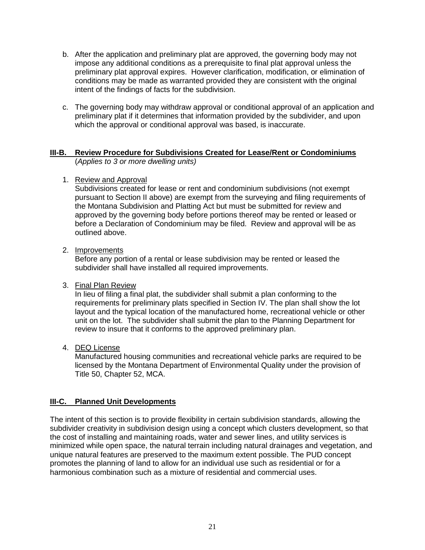- b. After the application and preliminary plat are approved, the governing body may not impose any additional conditions as a prerequisite to final plat approval unless the preliminary plat approval expires. However clarification, modification, or elimination of conditions may be made as warranted provided they are consistent with the original intent of the findings of facts for the subdivision.
- c. The governing body may withdraw approval or conditional approval of an application and preliminary plat if it determines that information provided by the subdivider, and upon which the approval or conditional approval was based, is inaccurate.

## **III-B. Review Procedure for Subdivisions Created for Lease/Rent or Condominiums** (*Applies to 3 or more dwelling units)*

1. Review and Approval

Subdivisions created for lease or rent and condominium subdivisions (not exempt pursuant to Section II above) are exempt from the surveying and filing requirements of the Montana Subdivision and Platting Act but must be submitted for review and approved by the governing body before portions thereof may be rented or leased or before a Declaration of Condominium may be filed. Review and approval will be as outlined above.

2. Improvements

Before any portion of a rental or lease subdivision may be rented or leased the subdivider shall have installed all required improvements.

3. Final Plan Review

In lieu of filing a final plat, the subdivider shall submit a plan conforming to the requirements for preliminary plats specified in Section IV. The plan shall show the lot layout and the typical location of the manufactured home, recreational vehicle or other unit on the lot. The subdivider shall submit the plan to the Planning Department for review to insure that it conforms to the approved preliminary plan.

4. DEQ License

Manufactured housing communities and recreational vehicle parks are required to be licensed by the Montana Department of Environmental Quality under the provision of Title 50, Chapter 52, MCA.

# **III-C. Planned Unit Developments**

The intent of this section is to provide flexibility in certain subdivision standards, allowing the subdivider creativity in subdivision design using a concept which clusters development, so that the cost of installing and maintaining roads, water and sewer lines, and utility services is minimized while open space, the natural terrain including natural drainages and vegetation, and unique natural features are preserved to the maximum extent possible. The PUD concept promotes the planning of land to allow for an individual use such as residential or for a harmonious combination such as a mixture of residential and commercial uses.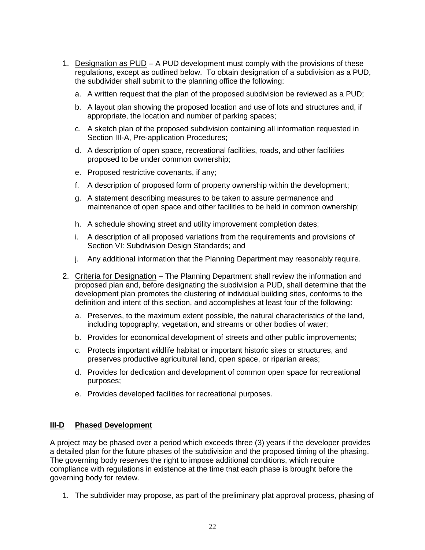- 1. Designation as PUD A PUD development must comply with the provisions of these regulations, except as outlined below. To obtain designation of a subdivision as a PUD, the subdivider shall submit to the planning office the following:
	- a. A written request that the plan of the proposed subdivision be reviewed as a PUD;
	- b. A layout plan showing the proposed location and use of lots and structures and, if appropriate, the location and number of parking spaces;
	- c. A sketch plan of the proposed subdivision containing all information requested in Section III-A, Pre-application Procedures;
	- d. A description of open space, recreational facilities, roads, and other facilities proposed to be under common ownership;
	- e. Proposed restrictive covenants, if any;
	- f. A description of proposed form of property ownership within the development;
	- g. A statement describing measures to be taken to assure permanence and maintenance of open space and other facilities to be held in common ownership;
	- h. A schedule showing street and utility improvement completion dates;
	- i. A description of all proposed variations from the requirements and provisions of Section VI: Subdivision Design Standards; and
	- j. Any additional information that the Planning Department may reasonably require.
- 2. Criteria for Designation The Planning Department shall review the information and proposed plan and, before designating the subdivision a PUD, shall determine that the development plan promotes the clustering of individual building sites, conforms to the definition and intent of this section, and accomplishes at least four of the following:
	- a. Preserves, to the maximum extent possible, the natural characteristics of the land, including topography, vegetation, and streams or other bodies of water;
	- b. Provides for economical development of streets and other public improvements;
	- c. Protects important wildlife habitat or important historic sites or structures, and preserves productive agricultural land, open space, or riparian areas;
	- d. Provides for dedication and development of common open space for recreational purposes;
	- e. Provides developed facilities for recreational purposes.

#### **III-D Phased Development**

A project may be phased over a period which exceeds three (3) years if the developer provides a detailed plan for the future phases of the subdivision and the proposed timing of the phasing. The governing body reserves the right to impose additional conditions, which require compliance with regulations in existence at the time that each phase is brought before the governing body for review.

1. The subdivider may propose, as part of the preliminary plat approval process, phasing of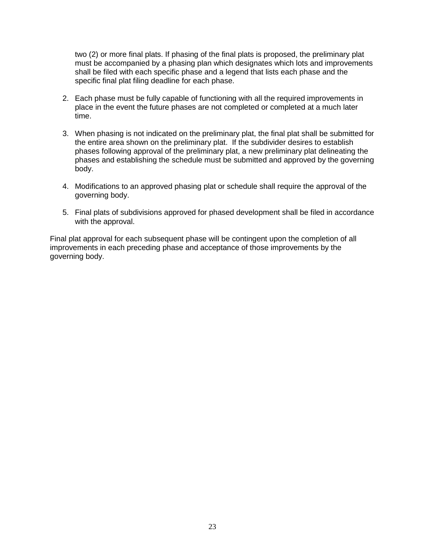two (2) or more final plats. If phasing of the final plats is proposed, the preliminary plat must be accompanied by a phasing plan which designates which lots and improvements shall be filed with each specific phase and a legend that lists each phase and the specific final plat filing deadline for each phase.

- 2. Each phase must be fully capable of functioning with all the required improvements in place in the event the future phases are not completed or completed at a much later time.
- 3. When phasing is not indicated on the preliminary plat, the final plat shall be submitted for the entire area shown on the preliminary plat. If the subdivider desires to establish phases following approval of the preliminary plat, a new preliminary plat delineating the phases and establishing the schedule must be submitted and approved by the governing body.
- 4. Modifications to an approved phasing plat or schedule shall require the approval of the governing body.
- 5. Final plats of subdivisions approved for phased development shall be filed in accordance with the approval.

<span id="page-25-0"></span>Final plat approval for each subsequent phase will be contingent upon the completion of all improvements in each preceding phase and acceptance of those improvements by the governing body.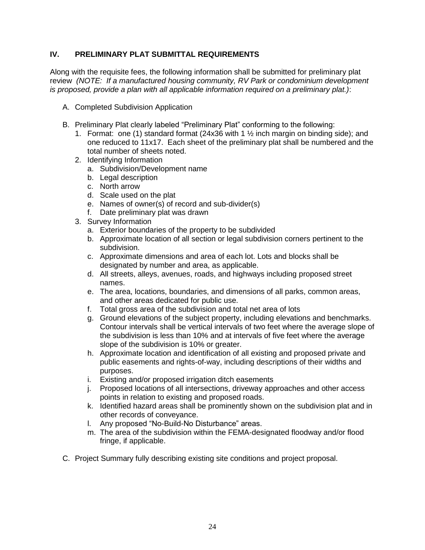## **IV. PRELIMINARY PLAT SUBMITTAL REQUIREMENTS**

Along with the requisite fees, the following information shall be submitted for preliminary plat review *(NOTE: If a manufactured housing community, RV Park or condominium development is proposed, provide a plan with all applicable information required on a preliminary plat.)*:

- A. Completed Subdivision Application
- B. Preliminary Plat clearly labeled "Preliminary Plat" conforming to the following:
	- 1. Format: one (1) standard format (24x36 with 1  $\frac{1}{2}$  inch margin on binding side); and one reduced to 11x17. Each sheet of the preliminary plat shall be numbered and the total number of sheets noted.
	- 2. Identifying Information
		- a. Subdivision/Development name
		- b. Legal description
		- c. North arrow
		- d. Scale used on the plat
		- e. Names of owner(s) of record and sub-divider(s)
		- f. Date preliminary plat was drawn
	- 3. Survey Information
		- a. Exterior boundaries of the property to be subdivided
		- b. Approximate location of all section or legal subdivision corners pertinent to the subdivision.
		- c. Approximate dimensions and area of each lot. Lots and blocks shall be designated by number and area, as applicable.
		- d. All streets, alleys, avenues, roads, and highways including proposed street names.
		- e. The area, locations, boundaries, and dimensions of all parks, common areas, and other areas dedicated for public use.
		- f. Total gross area of the subdivision and total net area of lots
		- g. Ground elevations of the subject property, including elevations and benchmarks. Contour intervals shall be vertical intervals of two feet where the average slope of the subdivision is less than 10% and at intervals of five feet where the average slope of the subdivision is 10% or greater.
		- h. Approximate location and identification of all existing and proposed private and public easements and rights-of-way, including descriptions of their widths and purposes.
		- i. Existing and/or proposed irrigation ditch easements
		- j. Proposed locations of all intersections, driveway approaches and other access points in relation to existing and proposed roads.
		- k. Identified hazard areas shall be prominently shown on the subdivision plat and in other records of conveyance.
		- l. Any proposed "No-Build-No Disturbance" areas.
		- m. The area of the subdivision within the FEMA-designated floodway and/or flood fringe, if applicable.
- C. Project Summary fully describing existing site conditions and project proposal.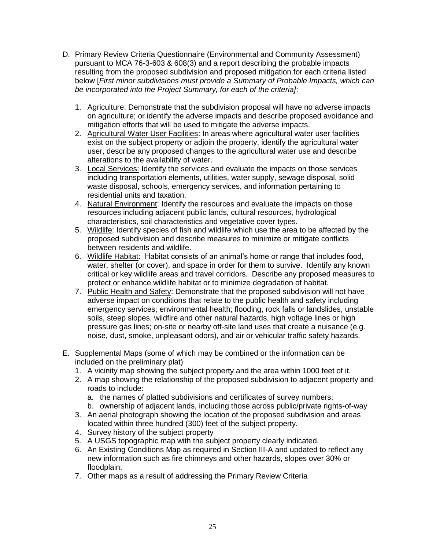- D. Primary Review Criteria Questionnaire (Environmental and Community Assessment) pursuant to MCA 76-3-603 & 608(3) and a report describing the probable impacts resulting from the proposed subdivision and proposed mitigation for each criteria listed below [*First minor subdivisions must provide a Summary of Probable Impacts, which can be incorporated into the Project Summary, for each of the criteria]*:
	- 1. Agriculture: Demonstrate that the subdivision proposal will have no adverse impacts on agriculture; or identify the adverse impacts and describe proposed avoidance and mitigation efforts that will be used to mitigate the adverse impacts.
	- 2. Agricultural Water User Facilities: In areas where agricultural water user facilities exist on the subject property or adjoin the property, identify the agricultural water user, describe any proposed changes to the agricultural water use and describe alterations to the availability of water.
	- 3. Local Services: Identify the services and evaluate the impacts on those services including transportation elements, utilities, water supply, sewage disposal, solid waste disposal, schools, emergency services, and information pertaining to residential units and taxation.
	- 4. Natural Environment: Identify the resources and evaluate the impacts on those resources including adjacent public lands, cultural resources, hydrological characteristics, soil characteristics and vegetative cover types.
	- 5. Wildlife: Identify species of fish and wildlife which use the area to be affected by the proposed subdivision and describe measures to minimize or mitigate conflicts between residents and wildlife.
	- 6. Wildlife Habitat: Habitat consists of an animal's home or range that includes food, water, shelter (or cover), and space in order for them to survive. Identify any known critical or key wildlife areas and travel corridors. Describe any proposed measures to protect or enhance wildlife habitat or to minimize degradation of habitat.
	- 7. Public Health and Safety: Demonstrate that the proposed subdivision will not have adverse impact on conditions that relate to the public health and safety including emergency services; environmental health; flooding, rock falls or landslides, unstable soils, steep slopes, wildfire and other natural hazards, high voltage lines or high pressure gas lines; on-site or nearby off-site land uses that create a nuisance (e.g. noise, dust, smoke, unpleasant odors), and air or vehicular traffic safety hazards.
- E. Supplemental Maps (some of which may be combined or the information can be included on the preliminary plat)
	- 1. A vicinity map showing the subject property and the area within 1000 feet of it.
	- 2. A map showing the relationship of the proposed subdivision to adjacent property and roads to include:
		- a. the names of platted subdivisions and certificates of survey numbers;
		- b. ownership of adjacent lands, including those across public/private rights-of-way
	- 3. An aerial photograph showing the location of the proposed subdivision and areas located within three hundred (300) feet of the subject property.
	- 4. Survey history of the subject property
	- 5. A USGS topographic map with the subject property clearly indicated.
	- 6. An Existing Conditions Map as required in Section III-A and updated to reflect any new information such as fire chimneys and other hazards, slopes over 30% or floodplain.
	- 7. Other maps as a result of addressing the Primary Review Criteria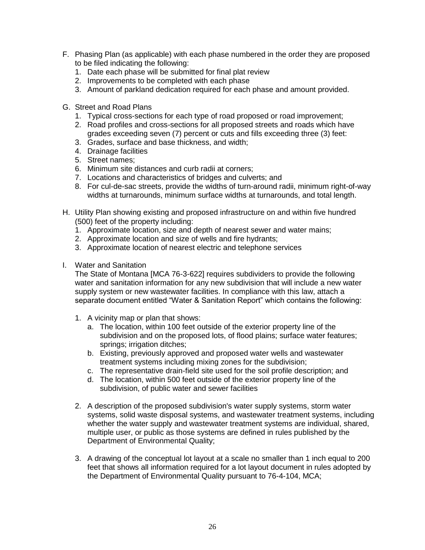- F. Phasing Plan (as applicable) with each phase numbered in the order they are proposed to be filed indicating the following:
	- 1. Date each phase will be submitted for final plat review
	- 2. Improvements to be completed with each phase
	- 3. Amount of parkland dedication required for each phase and amount provided.
- G. Street and Road Plans
	- 1. Typical cross-sections for each type of road proposed or road improvement;
	- 2. Road profiles and cross-sections for all proposed streets and roads which have grades exceeding seven (7) percent or cuts and fills exceeding three (3) feet:
	- 3. Grades, surface and base thickness, and width;
	- 4. Drainage facilities
	- 5. Street names;
	- 6. Minimum site distances and curb radii at corners;
	- 7. Locations and characteristics of bridges and culverts; and
	- 8. For cul-de-sac streets, provide the widths of turn-around radii, minimum right-of-way widths at turnarounds, minimum surface widths at turnarounds, and total length.
- H. Utility Plan showing existing and proposed infrastructure on and within five hundred (500) feet of the property including:
	- 1. Approximate location, size and depth of nearest sewer and water mains;
	- 2. Approximate location and size of wells and fire hydrants;
	- 3. Approximate location of nearest electric and telephone services
- I. Water and Sanitation

The State of Montana [MCA 76-3-622] requires subdividers to provide the following water and sanitation information for any new subdivision that will include a new water supply system or new wastewater facilities. In compliance with this law, attach a separate document entitled "Water & Sanitation Report" which contains the following:

- 1. A vicinity map or plan that shows:
	- a. The location, within 100 feet outside of the exterior property line of the subdivision and on the proposed lots, of flood plains; surface water features; springs; irrigation ditches;
	- b. Existing, previously approved and proposed water wells and wastewater treatment systems including mixing zones for the subdivision;
	- c. The representative drain-field site used for the soil profile description; and
	- d. The location, within 500 feet outside of the exterior property line of the subdivision, of public water and sewer facilities
- 2. A description of the proposed subdivision's water supply systems, storm water systems, solid waste disposal systems, and wastewater treatment systems, including whether the water supply and wastewater treatment systems are individual, shared, multiple user, or public as those systems are defined in rules published by the Department of Environmental Quality;
- 3. A drawing of the conceptual lot layout at a scale no smaller than 1 inch equal to 200 feet that shows all information required for a lot layout document in rules adopted by the Department of Environmental Quality pursuant to 76-4-104, MCA;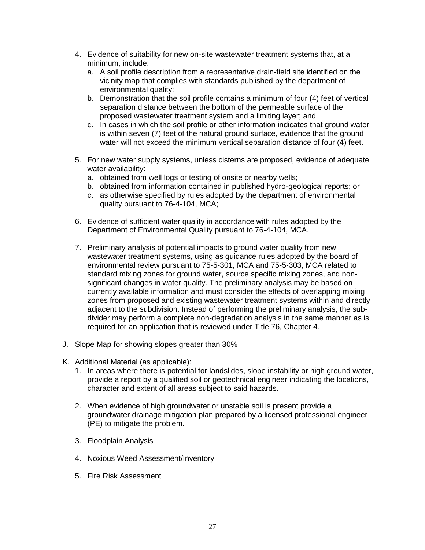- 4. Evidence of suitability for new on-site wastewater treatment systems that, at a minimum, include:
	- a. A soil profile description from a representative drain-field site identified on the vicinity map that complies with standards published by the department of environmental quality;
	- b. Demonstration that the soil profile contains a minimum of four (4) feet of vertical separation distance between the bottom of the permeable surface of the proposed wastewater treatment system and a limiting layer; and
	- c. In cases in which the soil profile or other information indicates that ground water is within seven (7) feet of the natural ground surface, evidence that the ground water will not exceed the minimum vertical separation distance of four (4) feet.
- 5. For new water supply systems, unless cisterns are proposed, evidence of adequate water availability:
	- a. obtained from well logs or testing of onsite or nearby wells;
	- b. obtained from information contained in published hydro-geological reports; or
	- c. as otherwise specified by rules adopted by the department of environmental quality pursuant to 76-4-104, MCA;
- 6. Evidence of sufficient water quality in accordance with rules adopted by the Department of Environmental Quality pursuant to 76-4-104, MCA.
- 7. Preliminary analysis of potential impacts to ground water quality from new wastewater treatment systems, using as guidance rules adopted by the board of environmental review pursuant to 75-5-301, MCA and 75-5-303, MCA related to standard mixing zones for ground water, source specific mixing zones, and nonsignificant changes in water quality. The preliminary analysis may be based on currently available information and must consider the effects of overlapping mixing zones from proposed and existing wastewater treatment systems within and directly adjacent to the subdivision. Instead of performing the preliminary analysis, the subdivider may perform a complete non-degradation analysis in the same manner as is required for an application that is reviewed under Title 76, Chapter 4.
- J. Slope Map for showing slopes greater than 30%
- K. Additional Material (as applicable):
	- 1. In areas where there is potential for landslides, slope instability or high ground water, provide a report by a qualified soil or geotechnical engineer indicating the locations, character and extent of all areas subject to said hazards.
	- 2. When evidence of high groundwater or unstable soil is present provide a groundwater drainage mitigation plan prepared by a licensed professional engineer (PE) to mitigate the problem.
	- 3. Floodplain Analysis
	- 4. Noxious Weed Assessment/Inventory
	- 5. Fire Risk Assessment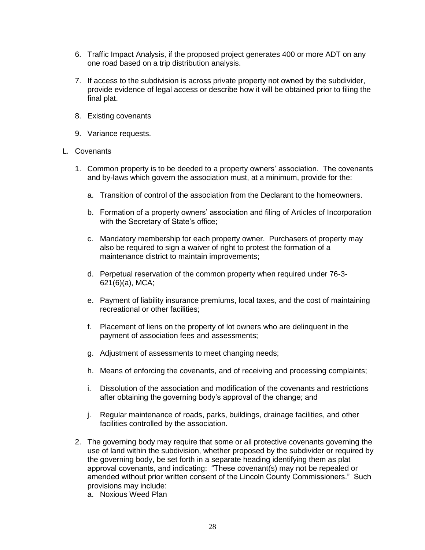- 6. Traffic Impact Analysis, if the proposed project generates 400 or more ADT on any one road based on a trip distribution analysis.
- 7. If access to the subdivision is across private property not owned by the subdivider, provide evidence of legal access or describe how it will be obtained prior to filing the final plat.
- 8. Existing covenants
- 9. Variance requests.

#### L. Covenants

- 1. Common property is to be deeded to a property owners' association. The covenants and by-laws which govern the association must, at a minimum, provide for the:
	- a. Transition of control of the association from the Declarant to the homeowners.
	- b. Formation of a property owners' association and filing of Articles of Incorporation with the Secretary of State's office;
	- c. Mandatory membership for each property owner. Purchasers of property may also be required to sign a waiver of right to protest the formation of a maintenance district to maintain improvements;
	- d. Perpetual reservation of the common property when required under 76-3- 621(6)(a), MCA;
	- e. Payment of liability insurance premiums, local taxes, and the cost of maintaining recreational or other facilities;
	- f. Placement of liens on the property of lot owners who are delinquent in the payment of association fees and assessments;
	- g. Adjustment of assessments to meet changing needs;
	- h. Means of enforcing the covenants, and of receiving and processing complaints;
	- i. Dissolution of the association and modification of the covenants and restrictions after obtaining the governing body's approval of the change; and
	- j. Regular maintenance of roads, parks, buildings, drainage facilities, and other facilities controlled by the association.
- 2. The governing body may require that some or all protective covenants governing the use of land within the subdivision, whether proposed by the subdivider or required by the governing body, be set forth in a separate heading identifying them as plat approval covenants, and indicating: "These covenant(s) may not be repealed or amended without prior written consent of the Lincoln County Commissioners." Such provisions may include:
	- a. Noxious Weed Plan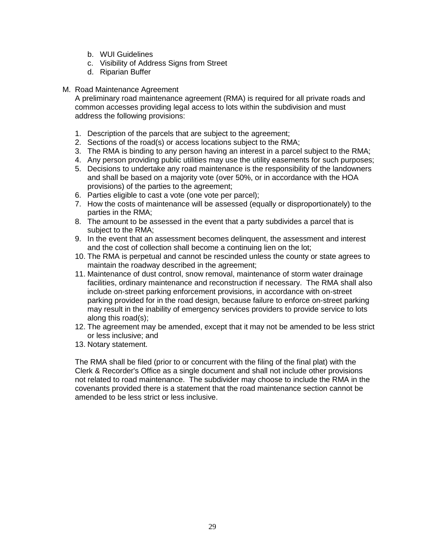- b. WUI Guidelines
- c. Visibility of Address Signs from Street
- d. Riparian Buffer

#### M. Road Maintenance Agreement

A preliminary road maintenance agreement (RMA) is required for all private roads and common accesses providing legal access to lots within the subdivision and must address the following provisions:

- 1. Description of the parcels that are subject to the agreement;
- 2. Sections of the road(s) or access locations subject to the RMA;
- 3. The RMA is binding to any person having an interest in a parcel subject to the RMA;
- 4. Any person providing public utilities may use the utility easements for such purposes;
- 5. Decisions to undertake any road maintenance is the responsibility of the landowners and shall be based on a majority vote (over 50%, or in accordance with the HOA provisions) of the parties to the agreement;
- 6. Parties eligible to cast a vote (one vote per parcel);
- 7. How the costs of maintenance will be assessed (equally or disproportionately) to the parties in the RMA;
- 8. The amount to be assessed in the event that a party subdivides a parcel that is subject to the RMA;
- 9. In the event that an assessment becomes delinquent, the assessment and interest and the cost of collection shall become a continuing lien on the lot;
- 10. The RMA is perpetual and cannot be rescinded unless the county or state agrees to maintain the roadway described in the agreement;
- 11. Maintenance of dust control, snow removal, maintenance of storm water drainage facilities, ordinary maintenance and reconstruction if necessary. The RMA shall also include on-street parking enforcement provisions, in accordance with on-street parking provided for in the road design, because failure to enforce on-street parking may result in the inability of emergency services providers to provide service to lots along this road(s);
- 12. The agreement may be amended, except that it may not be amended to be less strict or less inclusive; and
- 13. Notary statement.

The RMA shall be filed (prior to or concurrent with the filing of the final plat) with the Clerk & Recorder's Office as a single document and shall not include other provisions not related to road maintenance. The subdivider may choose to include the RMA in the covenants provided there is a statement that the road maintenance section cannot be amended to be less strict or less inclusive.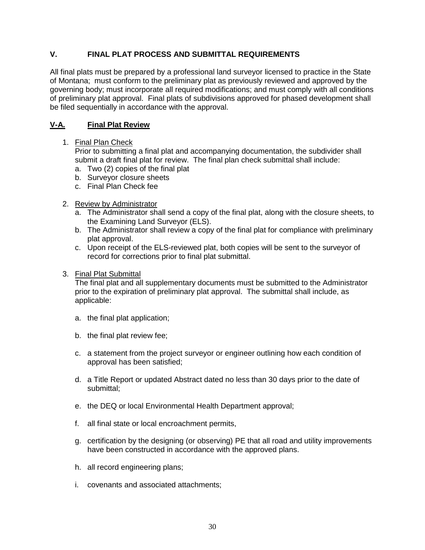# <span id="page-32-0"></span>**V. FINAL PLAT PROCESS AND SUBMITTAL REQUIREMENTS**

All final plats must be prepared by a professional land surveyor licensed to practice in the State of Montana; must conform to the preliminary plat as previously reviewed and approved by the governing body; must incorporate all required modifications; and must comply with all conditions of preliminary plat approval. Final plats of subdivisions approved for phased development shall be filed sequentially in accordance with the approval.

## **V-A. Final Plat Review**

#### 1. Final Plan Check

Prior to submitting a final plat and accompanying documentation, the subdivider shall submit a draft final plat for review. The final plan check submittal shall include:

- a. Two (2) copies of the final plat
- b. Surveyor closure sheets
- c. Final Plan Check fee

## 2. Review by Administrator

- a. The Administrator shall send a copy of the final plat, along with the closure sheets, to the Examining Land Surveyor (ELS).
- b. The Administrator shall review a copy of the final plat for compliance with preliminary plat approval.
- c. Upon receipt of the ELS-reviewed plat, both copies will be sent to the surveyor of record for corrections prior to final plat submittal.
- 3. Final Plat Submittal

The final plat and all supplementary documents must be submitted to the Administrator prior to the expiration of preliminary plat approval. The submittal shall include, as applicable:

- a. the final plat application;
- b. the final plat review fee;
- c. a statement from the project surveyor or engineer outlining how each condition of approval has been satisfied;
- d. a Title Report or updated Abstract dated no less than 30 days prior to the date of submittal;
- e. the DEQ or local Environmental Health Department approval;
- f. all final state or local encroachment permits,
- g. certification by the designing (or observing) PE that all road and utility improvements have been constructed in accordance with the approved plans.
- h. all record engineering plans;
- i. covenants and associated attachments;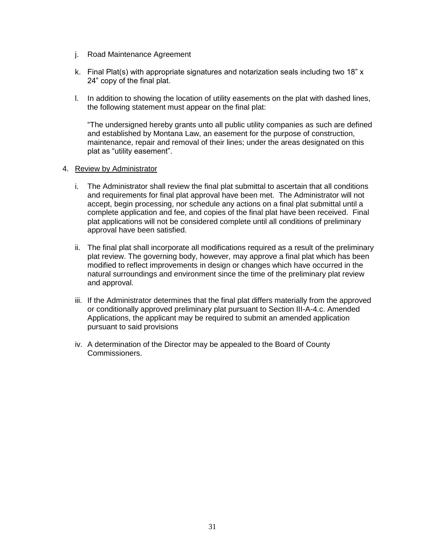- j. Road Maintenance Agreement
- k. Final Plat(s) with appropriate signatures and notarization seals including two 18" x 24" copy of the final plat.
- l. In addition to showing the location of utility easements on the plat with dashed lines, the following statement must appear on the final plat:

"The undersigned hereby grants unto all public utility companies as such are defined and established by Montana Law, an easement for the purpose of construction, maintenance, repair and removal of their lines; under the areas designated on this plat as "utility easement".

#### 4. Review by Administrator

- i. The Administrator shall review the final plat submittal to ascertain that all conditions and requirements for final plat approval have been met. The Administrator will not accept, begin processing, nor schedule any actions on a final plat submittal until a complete application and fee, and copies of the final plat have been received. Final plat applications will not be considered complete until all conditions of preliminary approval have been satisfied.
- ii. The final plat shall incorporate all modifications required as a result of the preliminary plat review. The governing body, however, may approve a final plat which has been modified to reflect improvements in design or changes which have occurred in the natural surroundings and environment since the time of the preliminary plat review and approval.
- iii. If the Administrator determines that the final plat differs materially from the approved or conditionally approved preliminary plat pursuant to Section III-A-4.c. Amended Applications, the applicant may be required to submit an amended application pursuant to said provisions
- iv. A determination of the Director may be appealed to the Board of County Commissioners.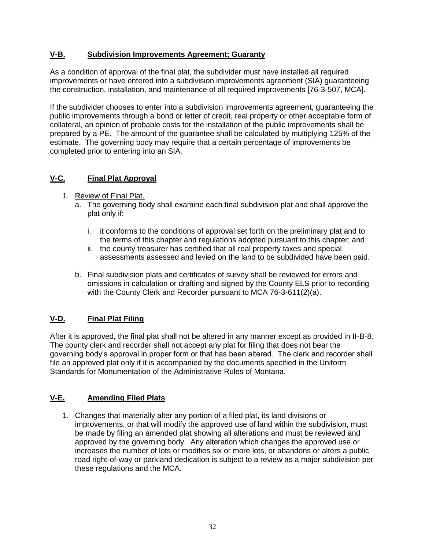# **V-B. Subdivision Improvements Agreement; Guaranty**

As a condition of approval of the final plat, the subdivider must have installed all required improvements or have entered into a subdivision improvements agreement (SIA) guaranteeing the construction, installation, and maintenance of all required improvements [76-3-507, MCA].

If the subdivider chooses to enter into a subdivision improvements agreement, guaranteeing the public improvements through a bond or letter of credit, real property or other acceptable form of collateral, an opinion of probable costs for the installation of the public improvements shall be prepared by a PE. The amount of the guarantee shall be calculated by multiplying 125% of the estimate. The governing body may require that a certain percentage of improvements be completed prior to entering into an SIA.

# **V-C. Final Plat Approval**

- 1. Review of Final Plat.
	- a. The governing body shall examine each final subdivision plat and shall approve the plat only if:
		- i. it conforms to the conditions of approval set forth on the preliminary plat and to the terms of this chapter and regulations adopted pursuant to this chapter; and
		- ii. the county treasurer has certified that all real property taxes and special assessments assessed and levied on the land to be subdivided have been paid.
	- b. Final subdivision plats and certificates of survey shall be reviewed for errors and omissions in calculation or drafting and signed by the County ELS prior to recording with the County Clerk and Recorder pursuant to MCA 76-3-611(2)(a).

# **V-D. Final Plat Filing**

After it is approved, the final plat shall not be altered in any manner except as provided in II-B-8. The county clerk and recorder shall not accept any plat for filing that does not bear the governing body's approval in proper form or that has been altered. The clerk and recorder shall file an approved plat only if it is accompanied by the documents specified in the Uniform Standards for Monumentation of the Administrative Rules of Montana.

# **V-E. Amending Filed Plats**

1. Changes that materially alter any portion of a filed plat, its land divisions or improvements, or that will modify the approved use of land within the subdivision, must be made by filing an amended plat showing all alterations and must be reviewed and approved by the governing body. Any alteration which changes the approved use or increases the number of lots or modifies six or more lots, or abandons or alters a public road right-of-way or parkland dedication is subject to a review as a major subdivision per these regulations and the MCA.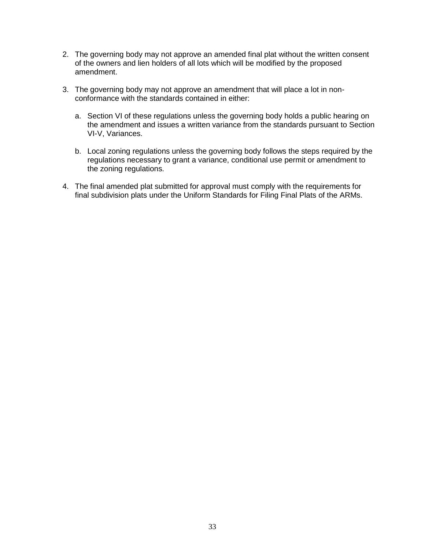- 2. The governing body may not approve an amended final plat without the written consent of the owners and lien holders of all lots which will be modified by the proposed amendment.
- 3. The governing body may not approve an amendment that will place a lot in nonconformance with the standards contained in either:
	- a. Section VI of these regulations unless the governing body holds a public hearing on the amendment and issues a written variance from the standards pursuant to Section VI-V, Variances.
	- b. Local zoning regulations unless the governing body follows the steps required by the regulations necessary to grant a variance, conditional use permit or amendment to the zoning regulations.
- 4. The final amended plat submitted for approval must comply with the requirements for final subdivision plats under the Uniform Standards for Filing Final Plats of the ARMs.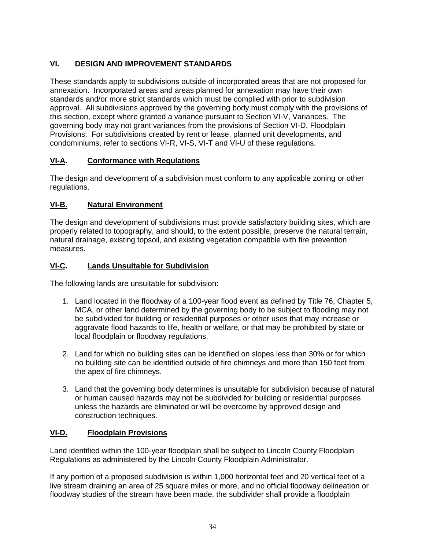# <span id="page-36-0"></span>**VI. DESIGN AND IMPROVEMENT STANDARDS**

These standards apply to subdivisions outside of incorporated areas that are not proposed for annexation. Incorporated areas and areas planned for annexation may have their own standards and/or more strict standards which must be complied with prior to subdivision approval. All subdivisions approved by the governing body must comply with the provisions of this section, except where granted a variance pursuant to Section VI-V, Variances. The governing body may not grant variances from the provisions of Section VI-D, Floodplain Provisions. For subdivisions created by rent or lease, planned unit developments, and condominiums, refer to sections VI-R, VI-S, VI-T and VI-U of these regulations.

# <span id="page-36-1"></span>**VI-A. Conformance with Regulations**

The design and development of a subdivision must conform to any applicable zoning or other regulations.

# <span id="page-36-2"></span>**VI-B. Natural Environment**

The design and development of subdivisions must provide satisfactory building sites, which are properly related to topography, and should, to the extent possible, preserve the natural terrain, natural drainage, existing topsoil, and existing vegetation compatible with fire prevention measures.

# <span id="page-36-3"></span>**VI-C. Lands Unsuitable for Subdivision**

The following lands are unsuitable for subdivision:

- 1. Land located in the floodway of a 100-year flood event as defined by Title 76, Chapter 5, MCA, or other land determined by the governing body to be subject to flooding may not be subdivided for building or residential purposes or other uses that may increase or aggravate flood hazards to life, health or welfare, or that may be prohibited by state or local floodplain or floodway regulations.
- 2. Land for which no building sites can be identified on slopes less than 30% or for which no building site can be identified outside of fire chimneys and more than 150 feet from the apex of fire chimneys.
- 3. Land that the governing body determines is unsuitable for subdivision because of natural or human caused hazards may not be subdivided for building or residential purposes unless the hazards are eliminated or will be overcome by approved design and construction techniques.

# <span id="page-36-4"></span>**VI-D. Floodplain Provisions**

Land identified within the 100-year floodplain shall be subject to Lincoln County Floodplain Regulations as administered by the Lincoln County Floodplain Administrator.

If any portion of a proposed subdivision is within 1,000 horizontal feet and 20 vertical feet of a live stream draining an area of 25 square miles or more, and no official floodway delineation or floodway studies of the stream have been made, the subdivider shall provide a floodplain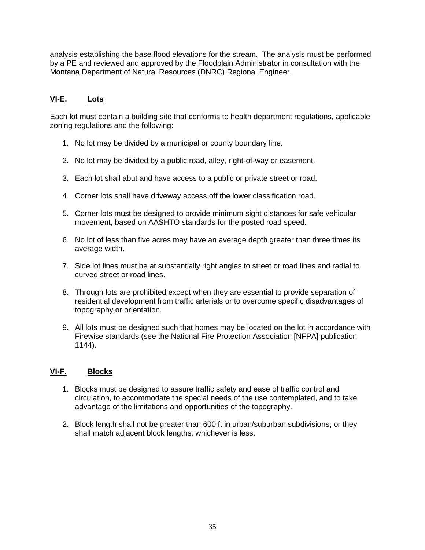analysis establishing the base flood elevations for the stream. The analysis must be performed by a PE and reviewed and approved by the Floodplain Administrator in consultation with the Montana Department of Natural Resources (DNRC) Regional Engineer.

# <span id="page-37-0"></span>**VI-E. Lots**

Each lot must contain a building site that conforms to health department regulations, applicable zoning regulations and the following:

- 1. No lot may be divided by a municipal or county boundary line.
- 2. No lot may be divided by a public road, alley, right-of-way or easement.
- 3. Each lot shall abut and have access to a public or private street or road.
- 4. Corner lots shall have driveway access off the lower classification road.
- 5. Corner lots must be designed to provide minimum sight distances for safe vehicular movement, based on AASHTO standards for the posted road speed.
- 6. No lot of less than five acres may have an average depth greater than three times its average width.
- 7. Side lot lines must be at substantially right angles to street or road lines and radial to curved street or road lines.
- 8. Through lots are prohibited except when they are essential to provide separation of residential development from traffic arterials or to overcome specific disadvantages of topography or orientation.
- 9. All lots must be designed such that homes may be located on the lot in accordance with Firewise standards (see the National Fire Protection Association [NFPA] publication 1144).

# <span id="page-37-1"></span>**VI-F. Blocks**

- 1. Blocks must be designed to assure traffic safety and ease of traffic control and circulation, to accommodate the special needs of the use contemplated, and to take advantage of the limitations and opportunities of the topography.
- 2. Block length shall not be greater than 600 ft in urban/suburban subdivisions; or they shall match adjacent block lengths, whichever is less.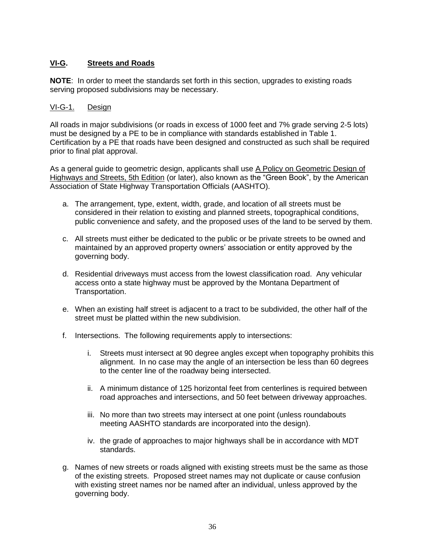# <span id="page-38-0"></span>**VI-G. Streets and Roads**

**NOTE**: In order to meet the standards set forth in this section, upgrades to existing roads serving proposed subdivisions may be necessary.

## VI-G-1. Design

All roads in major subdivisions (or roads in excess of 1000 feet and 7% grade serving 2-5 lots) must be designed by a PE to be in compliance with standards established in Table 1. Certification by a PE that roads have been designed and constructed as such shall be required prior to final plat approval.

As a general guide to geometric design, applicants shall use A Policy on Geometric Design of Highways and Streets, 5th Edition (or later), also known as the "Green Book", by the American Association of State Highway Transportation Officials (AASHTO).

- a. The arrangement, type, extent, width, grade, and location of all streets must be considered in their relation to existing and planned streets, topographical conditions, public convenience and safety, and the proposed uses of the land to be served by them.
- c. All streets must either be dedicated to the public or be private streets to be owned and maintained by an approved property owners' association or entity approved by the governing body.
- d. Residential driveways must access from the lowest classification road. Any vehicular access onto a state highway must be approved by the Montana Department of Transportation.
- e. When an existing half street is adjacent to a tract to be subdivided, the other half of the street must be platted within the new subdivision.
- f. Intersections. The following requirements apply to intersections:
	- i. Streets must intersect at 90 degree angles except when topography prohibits this alignment. In no case may the angle of an intersection be less than 60 degrees to the center line of the roadway being intersected.
	- ii. A minimum distance of 125 horizontal feet from centerlines is required between road approaches and intersections, and 50 feet between driveway approaches.
	- iii. No more than two streets may intersect at one point (unless roundabouts meeting AASHTO standards are incorporated into the design).
	- iv. the grade of approaches to major highways shall be in accordance with MDT standards.
- g. Names of new streets or roads aligned with existing streets must be the same as those of the existing streets. Proposed street names may not duplicate or cause confusion with existing street names nor be named after an individual, unless approved by the governing body.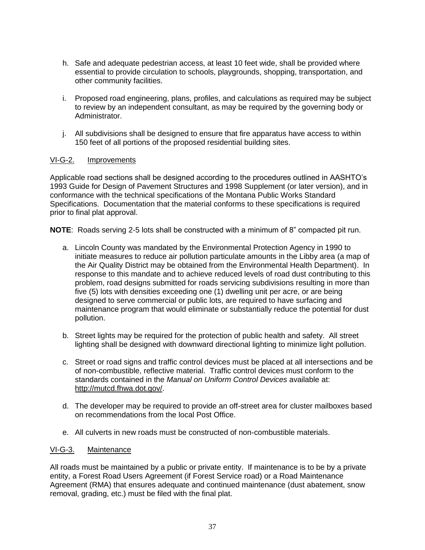- h. Safe and adequate pedestrian access, at least 10 feet wide, shall be provided where essential to provide circulation to schools, playgrounds, shopping, transportation, and other community facilities.
- i. Proposed road engineering, plans, profiles, and calculations as required may be subject to review by an independent consultant, as may be required by the governing body or Administrator.
- j. All subdivisions shall be designed to ensure that fire apparatus have access to within 150 feet of all portions of the proposed residential building sites.

## VI-G-2. Improvements

Applicable road sections shall be designed according to the procedures outlined in AASHTO's 1993 Guide for Design of Pavement Structures and 1998 Supplement (or later version), and in conformance with the technical specifications of the Montana Public Works Standard Specifications. Documentation that the material conforms to these specifications is required prior to final plat approval.

**NOTE**: Roads serving 2-5 lots shall be constructed with a minimum of 8" compacted pit run.

- a. Lincoln County was mandated by the Environmental Protection Agency in 1990 to initiate measures to reduce air pollution particulate amounts in the Libby area (a map of the Air Quality District may be obtained from the Environmental Health Department). In response to this mandate and to achieve reduced levels of road dust contributing to this problem, road designs submitted for roads servicing subdivisions resulting in more than five (5) lots with densities exceeding one (1) dwelling unit per acre, or are being designed to serve commercial or public lots, are required to have surfacing and maintenance program that would eliminate or substantially reduce the potential for dust pollution.
- b. Street lights may be required for the protection of public health and safety. All street lighting shall be designed with downward directional lighting to minimize light pollution.
- c. Street or road signs and traffic control devices must be placed at all intersections and be of non-combustible, reflective material. Traffic control devices must conform to the standards contained in the *Manual on Uniform Control Devices* available at: [http://mutcd.fhwa.dot.gov/.](http://mutcd.fhwa.dot.gov/)
- d. The developer may be required to provide an off-street area for cluster mailboxes based on recommendations from the local Post Office.
- e. All culverts in new roads must be constructed of non-combustible materials.

## VI-G-3. Maintenance

All roads must be maintained by a public or private entity. If maintenance is to be by a private entity, a Forest Road Users Agreement (if Forest Service road) or a Road Maintenance Agreement (RMA) that ensures adequate and continued maintenance (dust abatement, snow removal, grading, etc.) must be filed with the final plat.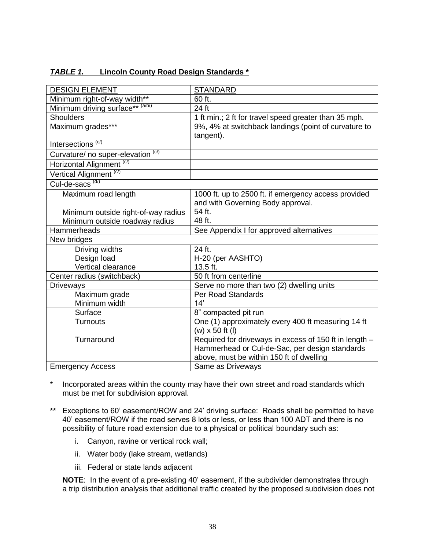| <b>DESIGN ELEMENT</b>                         | <b>STANDARD</b>                                        |
|-----------------------------------------------|--------------------------------------------------------|
| Minimum right-of-way width**                  | 60 ft.                                                 |
| Minimum driving surface** (a/b/)              | 24 ft                                                  |
| <b>Shoulders</b>                              | 1 ft min.; 2 ft for travel speed greater than 35 mph.  |
| Maximum grades***                             | 9%, 4% at switchback landings (point of curvature to   |
|                                               | tangent).                                              |
| Intersections <sup>(c/)</sup>                 |                                                        |
| Curvature/ no super-elevation <sup>(c/)</sup> |                                                        |
| Horizontal Alignment <sup>(c/)</sup>          |                                                        |
| Vertical Alignment <sup>(c/)</sup>            |                                                        |
| Cul-de-sacs <sup>(d/)</sup>                   |                                                        |
| Maximum road length                           | 1000 ft. up to 2500 ft. if emergency access provided   |
|                                               | and with Governing Body approval.                      |
| Minimum outside right-of-way radius           | 54 ft.                                                 |
| Minimum outside roadway radius                | 48 ft.                                                 |
| <b>Hammerheads</b>                            | See Appendix I for approved alternatives               |
| New bridges                                   |                                                        |
| Driving widths                                | 24 ft.                                                 |
| Design load                                   | H-20 (per AASHTO)                                      |
| Vertical clearance                            | 13.5 ft.                                               |
| Center radius (switchback)                    | 50 ft from centerline                                  |
| <b>Driveways</b>                              | Serve no more than two (2) dwelling units              |
| Maximum grade                                 | Per Road Standards                                     |
| Minimum width                                 | $\overline{14}$                                        |
| Surface                                       | 8" compacted pit run                                   |
| <b>Turnouts</b>                               | One (1) approximately every 400 ft measuring 14 ft     |
|                                               | $(w)$ x 50 ft $(l)$                                    |
| Turnaround                                    | Required for driveways in excess of 150 ft in length - |
|                                               | Hammerhead or Cul-de-Sac, per design standards         |
|                                               | above, must be within 150 ft of dwelling               |
| <b>Emergency Access</b>                       | Same as Driveways                                      |

## *TABLE 1.* **Lincoln County Road Design Standards \***

- Incorporated areas within the county may have their own street and road standards which must be met for subdivision approval.
- \*\* Exceptions to 60' easement/ROW and 24' driving surface: Roads shall be permitted to have 40' easement/ROW if the road serves 8 lots or less, or less than 100 ADT and there is no possibility of future road extension due to a physical or political boundary such as:
	- i. Canyon, ravine or vertical rock wall;
	- ii. Water body (lake stream, wetlands)
	- iii. Federal or state lands adjacent

**NOTE**: In the event of a pre-existing 40' easement, if the subdivider demonstrates through a trip distribution analysis that additional traffic created by the proposed subdivision does not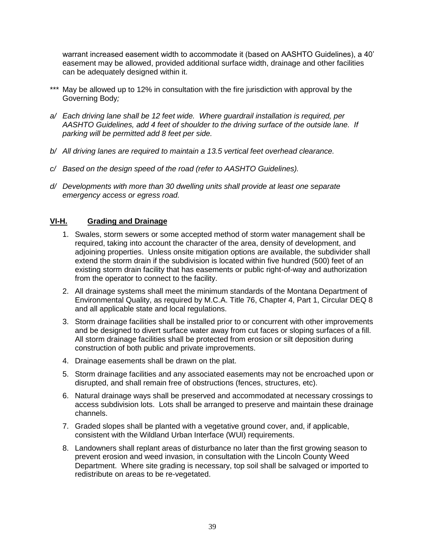warrant increased easement width to accommodate it (based on AASHTO Guidelines), a 40' easement may be allowed, provided additional surface width, drainage and other facilities can be adequately designed within it.

- \*\*\* May be allowed up to 12% in consultation with the fire jurisdiction with approval by the Governing Body*;*
- *a/ Each driving lane shall be 12 feet wide. Where guardrail installation is required, per AASHTO Guidelines, add 4 feet of shoulder to the driving surface of the outside lane. If parking will be permitted add 8 feet per side.*
- *b/ All driving lanes are required to maintain a 13.5 vertical feet overhead clearance.*
- *c/ Based on the design speed of the road (refer to AASHTO Guidelines).*
- *d/ Developments with more than 30 dwelling units shall provide at least one separate emergency access or egress road.*

## <span id="page-41-0"></span>**VI-H. Grading and Drainage**

- 1. Swales, storm sewers or some accepted method of storm water management shall be required, taking into account the character of the area, density of development, and adjoining properties. Unless onsite mitigation options are available, the subdivider shall extend the storm drain if the subdivision is located within five hundred (500) feet of an existing storm drain facility that has easements or public right-of-way and authorization from the operator to connect to the facility.
- 2. All drainage systems shall meet the minimum standards of the Montana Department of Environmental Quality, as required by M.C.A. Title 76, Chapter 4, Part 1, Circular DEQ 8 and all applicable state and local regulations.
- 3. Storm drainage facilities shall be installed prior to or concurrent with other improvements and be designed to divert surface water away from cut faces or sloping surfaces of a fill. All storm drainage facilities shall be protected from erosion or silt deposition during construction of both public and private improvements.
- 4. Drainage easements shall be drawn on the plat.
- 5. Storm drainage facilities and any associated easements may not be encroached upon or disrupted, and shall remain free of obstructions (fences, structures, etc).
- 6. Natural drainage ways shall be preserved and accommodated at necessary crossings to access subdivision lots. Lots shall be arranged to preserve and maintain these drainage channels.
- 7. Graded slopes shall be planted with a vegetative ground cover, and, if applicable, consistent with the Wildland Urban Interface (WUI) requirements.
- 8. Landowners shall replant areas of disturbance no later than the first growing season to prevent erosion and weed invasion, in consultation with the Lincoln County Weed Department. Where site grading is necessary, top soil shall be salvaged or imported to redistribute on areas to be re-vegetated.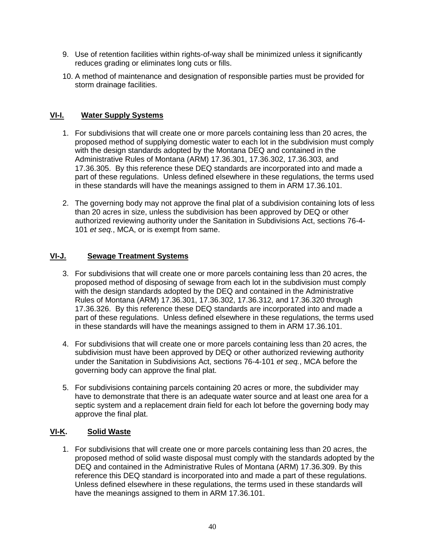- 9. Use of retention facilities within rights-of-way shall be minimized unless it significantly reduces grading or eliminates long cuts or fills.
- 10. A method of maintenance and designation of responsible parties must be provided for storm drainage facilities.

## <span id="page-42-0"></span>**VI-I. Water Supply Systems**

- 1. For subdivisions that will create one or more parcels containing less than 20 acres, the proposed method of supplying domestic water to each lot in the subdivision must comply with the design standards adopted by the Montana DEQ and contained in the Administrative Rules of Montana (ARM) 17.36.301, 17.36.302, 17.36.303, and 17.36.305. By this reference these DEQ standards are incorporated into and made a part of these regulations. Unless defined elsewhere in these regulations, the terms used in these standards will have the meanings assigned to them in ARM 17.36.101.
- 2. The governing body may not approve the final plat of a subdivision containing lots of less than 20 acres in size, unless the subdivision has been approved by DEQ or other authorized reviewing authority under the Sanitation in Subdivisions Act, sections 76-4- 101 *et seq.*, MCA, or is exempt from same.

## <span id="page-42-1"></span>**VI-J. Sewage Treatment Systems**

- 3. For subdivisions that will create one or more parcels containing less than 20 acres, the proposed method of disposing of sewage from each lot in the subdivision must comply with the design standards adopted by the DEQ and contained in the Administrative Rules of Montana (ARM) 17.36.301, 17.36.302, 17.36.312, and 17.36.320 through 17.36.326. By this reference these DEQ standards are incorporated into and made a part of these regulations. Unless defined elsewhere in these regulations, the terms used in these standards will have the meanings assigned to them in ARM 17.36.101.
- 4. For subdivisions that will create one or more parcels containing less than 20 acres, the subdivision must have been approved by DEQ or other authorized reviewing authority under the Sanitation in Subdivisions Act, sections 76-4-101 *et seq.*, MCA before the governing body can approve the final plat.
- 5. For subdivisions containing parcels containing 20 acres or more, the subdivider may have to demonstrate that there is an adequate water source and at least one area for a septic system and a replacement drain field for each lot before the governing body may approve the final plat.

# <span id="page-42-2"></span>**VI-K. Solid Waste**

1. For subdivisions that will create one or more parcels containing less than 20 acres, the proposed method of solid waste disposal must comply with the standards adopted by the DEQ and contained in the Administrative Rules of Montana (ARM) 17.36.309. By this reference this DEQ standard is incorporated into and made a part of these regulations. Unless defined elsewhere in these regulations, the terms used in these standards will have the meanings assigned to them in ARM 17.36.101.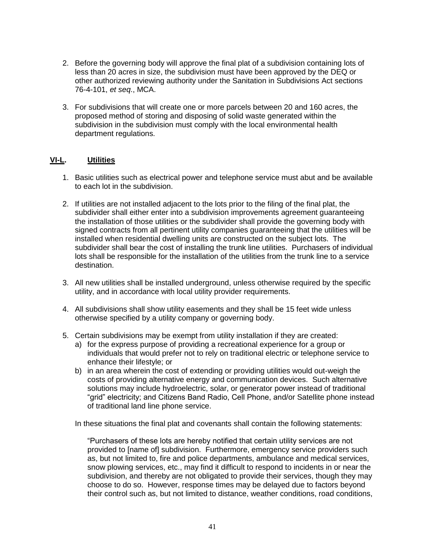- 2. Before the governing body will approve the final plat of a subdivision containing lots of less than 20 acres in size, the subdivision must have been approved by the DEQ or other authorized reviewing authority under the Sanitation in Subdivisions Act sections 76-4-101, *et seq*., MCA.
- 3. For subdivisions that will create one or more parcels between 20 and 160 acres, the proposed method of storing and disposing of solid waste generated within the subdivision in the subdivision must comply with the local environmental health department regulations.

## <span id="page-43-0"></span>**VI-L. Utilities**

- 1. Basic utilities such as electrical power and telephone service must abut and be available to each lot in the subdivision.
- 2. If utilities are not installed adjacent to the lots prior to the filing of the final plat, the subdivider shall either enter into a subdivision improvements agreement guaranteeing the installation of those utilities or the subdivider shall provide the governing body with signed contracts from all pertinent utility companies guaranteeing that the utilities will be installed when residential dwelling units are constructed on the subject lots. The subdivider shall bear the cost of installing the trunk line utilities. Purchasers of individual lots shall be responsible for the installation of the utilities from the trunk line to a service destination.
- 3. All new utilities shall be installed underground, unless otherwise required by the specific utility, and in accordance with local utility provider requirements.
- 4. All subdivisions shall show utility easements and they shall be 15 feet wide unless otherwise specified by a utility company or governing body.
- 5. Certain subdivisions may be exempt from utility installation if they are created:
	- a) for the express purpose of providing a recreational experience for a group or individuals that would prefer not to rely on traditional electric or telephone service to enhance their lifestyle; or
	- b) in an area wherein the cost of extending or providing utilities would out-weigh the costs of providing alternative energy and communication devices. Such alternative solutions may include hydroelectric, solar, or generator power instead of traditional "grid" electricity; and Citizens Band Radio, Cell Phone, and/or Satellite phone instead of traditional land line phone service.

In these situations the final plat and covenants shall contain the following statements:

"Purchasers of these lots are hereby notified that certain utility services are not provided to [name of] subdivision. Furthermore, emergency service providers such as, but not limited to, fire and police departments, ambulance and medical services, snow plowing services, etc., may find it difficult to respond to incidents in or near the subdivision, and thereby are not obligated to provide their services, though they may choose to do so. However, response times may be delayed due to factors beyond their control such as, but not limited to distance, weather conditions, road conditions,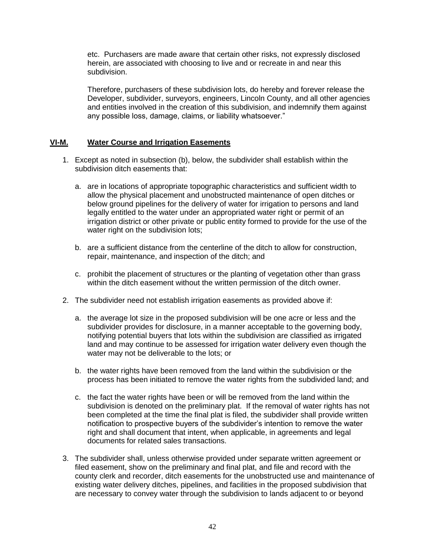etc. Purchasers are made aware that certain other risks, not expressly disclosed herein, are associated with choosing to live and or recreate in and near this subdivision.

Therefore, purchasers of these subdivision lots, do hereby and forever release the Developer, subdivider, surveyors, engineers, Lincoln County, and all other agencies and entities involved in the creation of this subdivision, and indemnify them against any possible loss, damage, claims, or liability whatsoever."

#### <span id="page-44-0"></span>**VI-M. Water Course and Irrigation Easements**

- 1. Except as noted in subsection (b), below, the subdivider shall establish within the subdivision ditch easements that:
	- a. are in locations of appropriate topographic characteristics and sufficient width to allow the physical placement and unobstructed maintenance of open ditches or below ground pipelines for the delivery of water for irrigation to persons and land legally entitled to the water under an appropriated water right or permit of an irrigation district or other private or public entity formed to provide for the use of the water right on the subdivision lots;
	- b. are a sufficient distance from the centerline of the ditch to allow for construction, repair, maintenance, and inspection of the ditch; and
	- c. prohibit the placement of structures or the planting of vegetation other than grass within the ditch easement without the written permission of the ditch owner.
- 2. The subdivider need not establish irrigation easements as provided above if:
	- a. the average lot size in the proposed subdivision will be one acre or less and the subdivider provides for disclosure, in a manner acceptable to the governing body, notifying potential buyers that lots within the subdivision are classified as irrigated land and may continue to be assessed for irrigation water delivery even though the water may not be deliverable to the lots; or
	- b. the water rights have been removed from the land within the subdivision or the process has been initiated to remove the water rights from the subdivided land; and
	- c. the fact the water rights have been or will be removed from the land within the subdivision is denoted on the preliminary plat. If the removal of water rights has not been completed at the time the final plat is filed, the subdivider shall provide written notification to prospective buyers of the subdivider's intention to remove the water right and shall document that intent, when applicable, in agreements and legal documents for related sales transactions.
- 3. The subdivider shall, unless otherwise provided under separate written agreement or filed easement, show on the preliminary and final plat, and file and record with the county clerk and recorder, ditch easements for the unobstructed use and maintenance of existing water delivery ditches, pipelines, and facilities in the proposed subdivision that are necessary to convey water through the subdivision to lands adjacent to or beyond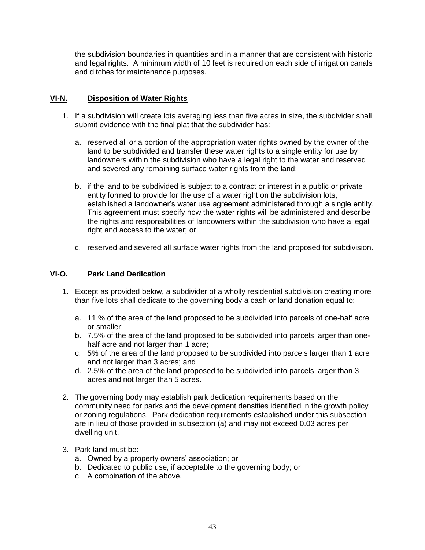the subdivision boundaries in quantities and in a manner that are consistent with historic and legal rights. A minimum width of 10 feet is required on each side of irrigation canals and ditches for maintenance purposes.

## <span id="page-45-0"></span>**VI-N. Disposition of Water Rights**

- 1. If a subdivision will create lots averaging less than five acres in size, the subdivider shall submit evidence with the final plat that the subdivider has:
	- a. reserved all or a portion of the appropriation water rights owned by the owner of the land to be subdivided and transfer these water rights to a single entity for use by landowners within the subdivision who have a legal right to the water and reserved and severed any remaining surface water rights from the land;
	- b. if the land to be subdivided is subject to a contract or interest in a public or private entity formed to provide for the use of a water right on the subdivision lots, established a landowner's water use agreement administered through a single entity. This agreement must specify how the water rights will be administered and describe the rights and responsibilities of landowners within the subdivision who have a legal right and access to the water; or
	- c. reserved and severed all surface water rights from the land proposed for subdivision.

## **VI-O. Park Land Dedication**

- 1. Except as provided below, a subdivider of a wholly residential subdivision creating more than five lots shall dedicate to the governing body a cash or land donation equal to:
	- a. 11 % of the area of the land proposed to be subdivided into parcels of one-half acre or smaller;
	- b. 7.5% of the area of the land proposed to be subdivided into parcels larger than onehalf acre and not larger than 1 acre;
	- c. 5% of the area of the land proposed to be subdivided into parcels larger than 1 acre and not larger than 3 acres; and
	- d. 2.5% of the area of the land proposed to be subdivided into parcels larger than 3 acres and not larger than 5 acres.
- 2. The governing body may establish park dedication requirements based on the community need for parks and the development densities identified in the growth policy or zoning regulations. Park dedication requirements established under this subsection are in lieu of those provided in subsection (a) and may not exceed 0.03 acres per dwelling unit.
- 3. Park land must be:
	- a. Owned by a property owners' association; or
	- b. Dedicated to public use, if acceptable to the governing body; or
	- c. A combination of the above.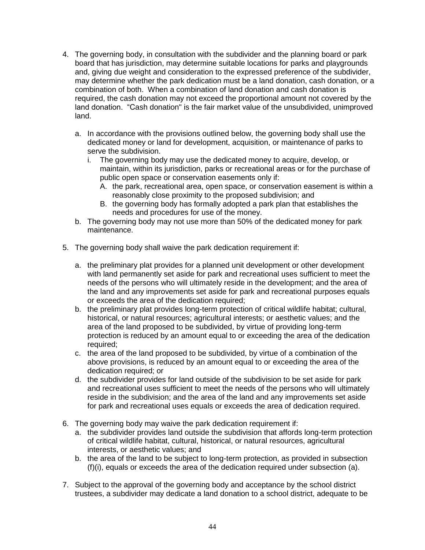- 4. The governing body, in consultation with the subdivider and the planning board or park board that has jurisdiction, may determine suitable locations for parks and playgrounds and, giving due weight and consideration to the expressed preference of the subdivider, may determine whether the park dedication must be a land donation, cash donation, or a combination of both. When a combination of land donation and cash donation is required, the cash donation may not exceed the proportional amount not covered by the land donation. "Cash donation" is the fair market value of the unsubdivided, unimproved land.
	- a. In accordance with the provisions outlined below, the governing body shall use the dedicated money or land for development, acquisition, or maintenance of parks to serve the subdivision.
		- i. The governing body may use the dedicated money to acquire, develop, or maintain, within its jurisdiction, parks or recreational areas or for the purchase of public open space or conservation easements only if:
			- A. the park, recreational area, open space, or conservation easement is within a reasonably close proximity to the proposed subdivision; and
			- B. the governing body has formally adopted a park plan that establishes the needs and procedures for use of the money.
	- b. The governing body may not use more than 50% of the dedicated money for park maintenance.
- 5. The governing body shall waive the park dedication requirement if:
	- a. the preliminary plat provides for a planned unit development or other development with land permanently set aside for park and recreational uses sufficient to meet the needs of the persons who will ultimately reside in the development; and the area of the land and any improvements set aside for park and recreational purposes equals or exceeds the area of the dedication required;
	- b. the preliminary plat provides long-term protection of critical wildlife habitat; cultural, historical, or natural resources; agricultural interests; or aesthetic values; and the area of the land proposed to be subdivided, by virtue of providing long-term protection is reduced by an amount equal to or exceeding the area of the dedication required;
	- c. the area of the land proposed to be subdivided, by virtue of a combination of the above provisions, is reduced by an amount equal to or exceeding the area of the dedication required; or
	- d. the subdivider provides for land outside of the subdivision to be set aside for park and recreational uses sufficient to meet the needs of the persons who will ultimately reside in the subdivision; and the area of the land and any improvements set aside for park and recreational uses equals or exceeds the area of dedication required.
- 6. The governing body may waive the park dedication requirement if:
	- a. the subdivider provides land outside the subdivision that affords long-term protection of critical wildlife habitat, cultural, historical, or natural resources, agricultural interests, or aesthetic values; and
	- b. the area of the land to be subject to long-term protection, as provided in subsection (f)(i), equals or exceeds the area of the dedication required under subsection (a).
- 7. Subject to the approval of the governing body and acceptance by the school district trustees, a subdivider may dedicate a land donation to a school district, adequate to be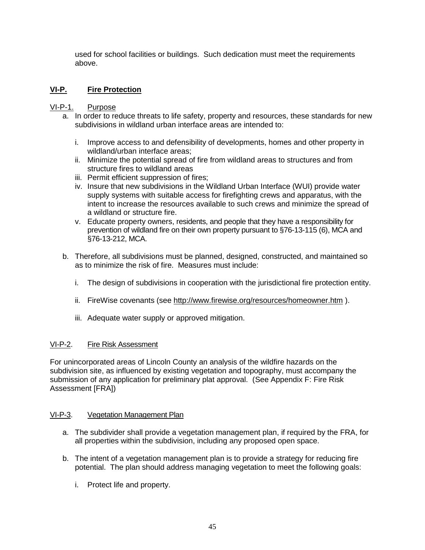used for school facilities or buildings. Such dedication must meet the requirements above.

# <span id="page-47-0"></span>**VI-P. Fire Protection**

## VI-P-1. Purpose

- a. In order to reduce threats to life safety, property and resources, these standards for new subdivisions in wildland urban interface areas are intended to:
	- i. Improve access to and defensibility of developments, homes and other property in wildland/urban interface areas;
	- ii. Minimize the potential spread of fire from wildland areas to structures and from structure fires to wildland areas
	- iii. Permit efficient suppression of fires;
	- iv. Insure that new subdivisions in the Wildland Urban Interface (WUI) provide water supply systems with suitable access for firefighting crews and apparatus, with the intent to increase the resources available to such crews and minimize the spread of a wildland or structure fire.
	- v. Educate property owners, residents, and people that they have a responsibility for prevention of wildland fire on their own property pursuant to §76-13-115 (6), MCA and §76-13-212, MCA.
- b. Therefore, all subdivisions must be planned, designed, constructed, and maintained so as to minimize the risk of fire. Measures must include:
	- i. The design of subdivisions in cooperation with the jurisdictional fire protection entity.
	- ii. FireWise covenants (see<http://www.firewise.org/resources/homeowner.htm> ).
	- iii. Adequate water supply or approved mitigation.

## VI-P-2. Fire Risk Assessment

For unincorporated areas of Lincoln County an analysis of the wildfire hazards on the subdivision site, as influenced by existing vegetation and topography, must accompany the submission of any application for preliminary plat approval. (See Appendix F: Fire Risk Assessment [FRA])

## VI-P-3. Vegetation Management Plan

- a. The subdivider shall provide a vegetation management plan, if required by the FRA, for all properties within the subdivision, including any proposed open space.
- b. The intent of a vegetation management plan is to provide a strategy for reducing fire potential. The plan should address managing vegetation to meet the following goals:
	- i. Protect life and property.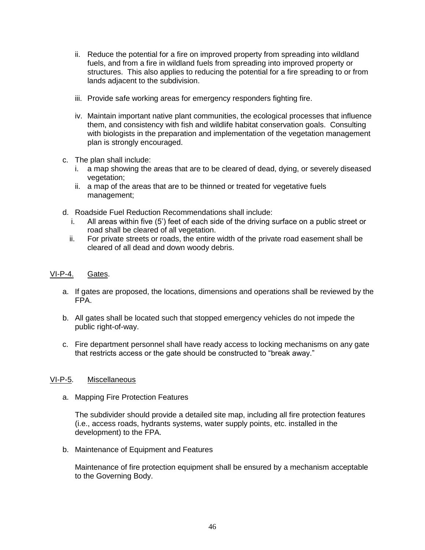- ii. Reduce the potential for a fire on improved property from spreading into wildland fuels, and from a fire in wildland fuels from spreading into improved property or structures. This also applies to reducing the potential for a fire spreading to or from lands adjacent to the subdivision.
- iii. Provide safe working areas for emergency responders fighting fire.
- iv. Maintain important native plant communities, the ecological processes that influence them, and consistency with fish and wildlife habitat conservation goals. Consulting with biologists in the preparation and implementation of the vegetation management plan is strongly encouraged.
- c. The plan shall include:
	- i. a map showing the areas that are to be cleared of dead, dying, or severely diseased vegetation:
	- ii. a map of the areas that are to be thinned or treated for vegetative fuels management;
- d. Roadside Fuel Reduction Recommendations shall include:
	- i. All areas within five (5') feet of each side of the driving surface on a public street or road shall be cleared of all vegetation.
	- ii. For private streets or roads, the entire width of the private road easement shall be cleared of all dead and down woody debris.

#### VI-P-4. Gates.

- a. If gates are proposed, the locations, dimensions and operations shall be reviewed by the FPA.
- b. All gates shall be located such that stopped emergency vehicles do not impede the public right-of-way.
- c. Fire department personnel shall have ready access to locking mechanisms on any gate that restricts access or the gate should be constructed to "break away."

## VI-P-5. Miscellaneous

a. Mapping Fire Protection Features

The subdivider should provide a detailed site map, including all fire protection features (i.e., access roads, hydrants systems, water supply points, etc. installed in the development) to the FPA.

b. Maintenance of Equipment and Features

Maintenance of fire protection equipment shall be ensured by a mechanism acceptable to the Governing Body.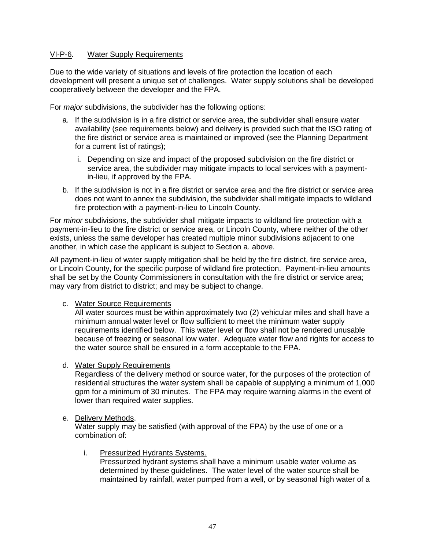## VI-P-6. Water Supply Requirements

Due to the wide variety of situations and levels of fire protection the location of each development will present a unique set of challenges. Water supply solutions shall be developed cooperatively between the developer and the FPA.

For *major* subdivisions, the subdivider has the following options:

- a. If the subdivision is in a fire district or service area, the subdivider shall ensure water availability (see requirements below) and delivery is provided such that the ISO rating of the fire district or service area is maintained or improved (see the Planning Department for a current list of ratings);
	- i. Depending on size and impact of the proposed subdivision on the fire district or service area, the subdivider may mitigate impacts to local services with a paymentin-lieu, if approved by the FPA.
- b. If the subdivision is not in a fire district or service area and the fire district or service area does not want to annex the subdivision, the subdivider shall mitigate impacts to wildland fire protection with a payment-in-lieu to Lincoln County.

For *minor* subdivisions, the subdivider shall mitigate impacts to wildland fire protection with a payment-in-lieu to the fire district or service area, or Lincoln County, where neither of the other exists, unless the same developer has created multiple minor subdivisions adjacent to one another, in which case the applicant is subject to Section a. above.

All payment-in-lieu of water supply mitigation shall be held by the fire district, fire service area, or Lincoln County, for the specific purpose of wildland fire protection. Payment-in-lieu amounts shall be set by the County Commissioners in consultation with the fire district or service area; may vary from district to district; and may be subject to change.

## c. Water Source Requirements

All water sources must be within approximately two (2) vehicular miles and shall have a minimum annual water level or flow sufficient to meet the minimum water supply requirements identified below. This water level or flow shall not be rendered unusable because of freezing or seasonal low water. Adequate water flow and rights for access to the water source shall be ensured in a form acceptable to the FPA.

d. Water Supply Requirements

Regardless of the delivery method or source water, for the purposes of the protection of residential structures the water system shall be capable of supplying a minimum of 1,000 gpm for a minimum of 30 minutes. The FPA may require warning alarms in the event of lower than required water supplies.

e. Delivery Methods.

Water supply may be satisfied (with approval of the FPA) by the use of one or a combination of:

i. Pressurized Hydrants Systems.

Pressurized hydrant systems shall have a minimum usable water volume as determined by these guidelines. The water level of the water source shall be maintained by rainfall, water pumped from a well, or by seasonal high water of a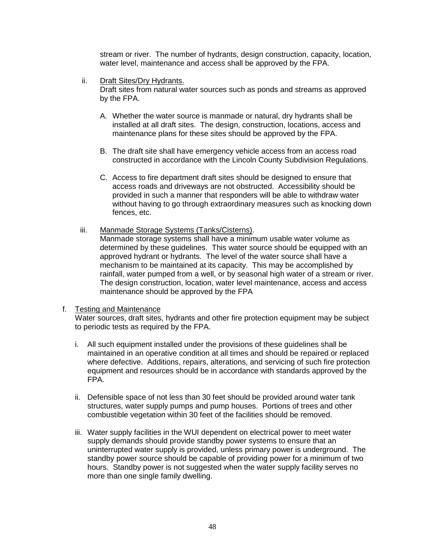stream or river. The number of hydrants, design construction, capacity, location, water level, maintenance and access shall be approved by the FPA.

ii. Draft Sites/Dry Hydrants.

Draft sites from natural water sources such as ponds and streams as approved by the FPA.

- A. Whether the water source is manmade or natural, dry hydrants shall be installed at all draft sites. The design, construction, locations, access and maintenance plans for these sites should be approved by the FPA.
- B. The draft site shall have emergency vehicle access from an access road constructed in accordance with the Lincoln County Subdivision Regulations.
- C. Access to fire department draft sites should be designed to ensure that access roads and driveways are not obstructed. Accessibility should be provided in such a manner that responders will be able to withdraw water without having to go through extraordinary measures such as knocking down fences, etc.
- iii. Manmade Storage Systems (Tanks/Cisterns).

Manmade storage systems shall have a minimum usable water volume as determined by these guidelines. This water source should be equipped with an approved hydrant or hydrants. The level of the water source shall have a mechanism to be maintained at its capacity. This may be accomplished by rainfall, water pumped from a well, or by seasonal high water of a stream or river. The design construction, location, water level maintenance, access and access maintenance should be approved by the FPA

#### f. Testing and Maintenance

Water sources, draft sites, hydrants and other fire protection equipment may be subject to periodic tests as required by the FPA.

- i. All such equipment installed under the provisions of these guidelines shall be maintained in an operative condition at all times and should be repaired or replaced where defective. Additions, repairs, alterations, and servicing of such fire protection equipment and resources should be in accordance with standards approved by the FPA.
- ii. Defensible space of not less than 30 feet should be provided around water tank structures, water supply pumps and pump houses. Portions of trees and other combustible vegetation within 30 feet of the facilities should be removed.
- iii. Water supply facilities in the WUI dependent on electrical power to meet water supply demands should provide standby power systems to ensure that an uninterrupted water supply is provided, unless primary power is underground. The standby power source should be capable of providing power for a minimum of two hours. Standby power is not suggested when the water supply facility serves no more than one single family dwelling.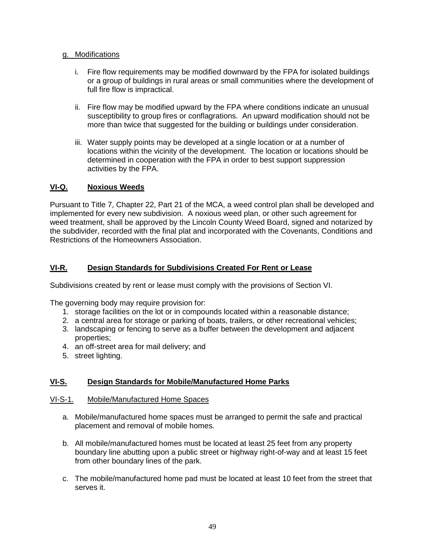## g. Modifications

- i. Fire flow requirements may be modified downward by the FPA for isolated buildings or a group of buildings in rural areas or small communities where the development of full fire flow is impractical.
- ii. Fire flow may be modified upward by the FPA where conditions indicate an unusual susceptibility to group fires or conflagrations. An upward modification should not be more than twice that suggested for the building or buildings under consideration.
- iii. Water supply points may be developed at a single location or at a number of locations within the vicinity of the development. The location or locations should be determined in cooperation with the FPA in order to best support suppression activities by the FPA.

# <span id="page-51-0"></span>**VI-Q. Noxious Weeds**

Pursuant to Title 7, Chapter 22, Part 21 of the MCA, a weed control plan shall be developed and implemented for every new subdivision. A noxious weed plan, or other such agreement for weed treatment, shall be approved by the Lincoln County Weed Board, signed and notarized by the subdivider, recorded with the final plat and incorporated with the Covenants, Conditions and Restrictions of the Homeowners Association.

# <span id="page-51-1"></span>**VI-R. Design Standards for Subdivisions Created For Rent or Lease**

Subdivisions created by rent or lease must comply with the provisions of Section VI.

The governing body may require provision for:

- 1. storage facilities on the lot or in compounds located within a reasonable distance;
- 2. a central area for storage or parking of boats, trailers, or other recreational vehicles;
- 3. landscaping or fencing to serve as a buffer between the development and adjacent properties;
- 4. an off-street area for mail delivery; and
- 5. street lighting.

# <span id="page-51-2"></span>**VI-S. Design Standards for Mobile/Manufactured Home Parks**

## VI-S-1. Mobile/Manufactured Home Spaces

- a. Mobile/manufactured home spaces must be arranged to permit the safe and practical placement and removal of mobile homes.
- b. All mobile/manufactured homes must be located at least 25 feet from any property boundary line abutting upon a public street or highway right-of-way and at least 15 feet from other boundary lines of the park.
- c. The mobile/manufactured home pad must be located at least 10 feet from the street that serves it.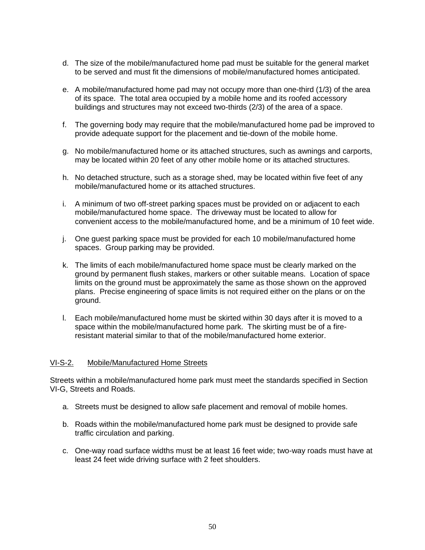- d. The size of the mobile/manufactured home pad must be suitable for the general market to be served and must fit the dimensions of mobile/manufactured homes anticipated.
- e. A mobile/manufactured home pad may not occupy more than one-third (1/3) of the area of its space. The total area occupied by a mobile home and its roofed accessory buildings and structures may not exceed two-thirds (2/3) of the area of a space.
- f. The governing body may require that the mobile/manufactured home pad be improved to provide adequate support for the placement and tie-down of the mobile home.
- g. No mobile/manufactured home or its attached structures, such as awnings and carports, may be located within 20 feet of any other mobile home or its attached structures.
- h. No detached structure, such as a storage shed, may be located within five feet of any mobile/manufactured home or its attached structures.
- i. A minimum of two off-street parking spaces must be provided on or adjacent to each mobile/manufactured home space. The driveway must be located to allow for convenient access to the mobile/manufactured home, and be a minimum of 10 feet wide.
- j. One guest parking space must be provided for each 10 mobile/manufactured home spaces. Group parking may be provided.
- k. The limits of each mobile/manufactured home space must be clearly marked on the ground by permanent flush stakes, markers or other suitable means. Location of space limits on the ground must be approximately the same as those shown on the approved plans. Precise engineering of space limits is not required either on the plans or on the ground.
- l. Each mobile/manufactured home must be skirted within 30 days after it is moved to a space within the mobile/manufactured home park. The skirting must be of a fireresistant material similar to that of the mobile/manufactured home exterior.

#### VI-S-2. Mobile/Manufactured Home Streets

Streets within a mobile/manufactured home park must meet the standards specified in Section VI-G, Streets and Roads.

- a. Streets must be designed to allow safe placement and removal of mobile homes.
- b. Roads within the mobile/manufactured home park must be designed to provide safe traffic circulation and parking.
- <span id="page-52-0"></span>c. One-way road surface widths must be at least 16 feet wide; two-way roads must have at least 24 feet wide driving surface with 2 feet shoulders.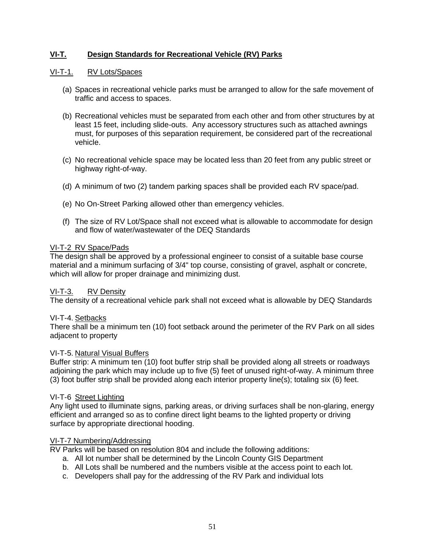# **VI-T. Design Standards for Recreational Vehicle (RV) Parks**

## VI-T-1. RV Lots/Spaces

- (a) Spaces in recreational vehicle parks must be arranged to allow for the safe movement of traffic and access to spaces.
- (b) Recreational vehicles must be separated from each other and from other structures by at least 15 feet, including slide-outs. Any accessory structures such as attached awnings must, for purposes of this separation requirement, be considered part of the recreational vehicle.
- (c) No recreational vehicle space may be located less than 20 feet from any public street or highway right-of-way.
- (d) A minimum of two (2) tandem parking spaces shall be provided each RV space/pad.
- (e) No On-Street Parking allowed other than emergency vehicles.
- (f) The size of RV Lot/Space shall not exceed what is allowable to accommodate for design and flow of water/wastewater of the DEQ Standards

#### VI-T-2 RV Space/Pads

The design shall be approved by a professional engineer to consist of a suitable base course material and a minimum surfacing of 3/4" top course, consisting of gravel, asphalt or concrete, which will allow for proper drainage and minimizing dust.

## VI-T-3. RV Density

The density of a recreational vehicle park shall not exceed what is allowable by DEQ Standards

## VI-T-4. Setbacks

There shall be a minimum ten (10) foot setback around the perimeter of the RV Park on all sides adjacent to property

#### VI-T-5. Natural Visual Buffers

Buffer strip: A minimum ten (10) foot buffer strip shall be provided along all streets or roadways adjoining the park which may include up to five (5) feet of unused right-of-way. A minimum three (3) foot buffer strip shall be provided along each interior property line(s); totaling six (6) feet.

#### VI-T-6 Street Lighting

Any light used to illuminate signs, parking areas, or driving surfaces shall be non-glaring, energy efficient and arranged so as to confine direct light beams to the lighted property or driving surface by appropriate directional hooding.

## VI-T-7 Numbering/Addressing

RV Parks will be based on resolution 804 and include the following additions:

- a. All lot number shall be determined by the Lincoln County GIS Department
- b. All Lots shall be numbered and the numbers visible at the access point to each lot.
- c. Developers shall pay for the addressing of the RV Park and individual lots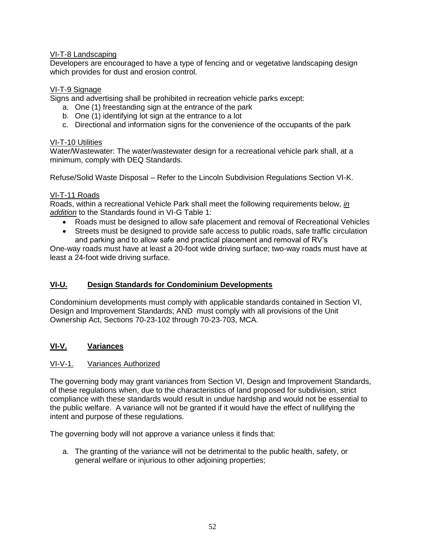## VI-T-8 Landscaping

Developers are encouraged to have a type of fencing and or vegetative landscaping design which provides for dust and erosion control.

## VI-T-9 Signage

Signs and advertising shall be prohibited in recreation vehicle parks except:

- a. One (1) freestanding sign at the entrance of the park
- b. One (1) identifying lot sign at the entrance to a lot
- c. Directional and information signs for the convenience of the occupants of the park

## VI-T-10 Utilities

Water/Wastewater: The water/wastewater design for a recreational vehicle park shall, at a minimum, comply with DEQ Standards.

Refuse/Solid Waste Disposal – Refer to the Lincoln Subdivision Regulations Section VI-K.

## VI-T-11 Roads

Roads, within a recreational Vehicle Park shall meet the following requirements below, *in addition* to the Standards found in VI-G Table 1:

- Roads must be designed to allow safe placement and removal of Recreational Vehicles
- Streets must be designed to provide safe access to public roads, safe traffic circulation and parking and to allow safe and practical placement and removal of RV's

One-way roads must have at least a 20-foot wide driving surface; two-way roads must have at least a 24-foot wide driving surface.

# <span id="page-54-0"></span>**VI-U. Design Standards for Condominium Developments**

Condominium developments must comply with applicable standards contained in Section VI, Design and Improvement Standards; AND must comply with all provisions of the Unit Ownership Act, Sections 70-23-102 through 70-23-703, MCA.

# <span id="page-54-1"></span>**VI-V. Variances**

## VI-V-1. Variances Authorized

The governing body may grant variances from Section VI, Design and Improvement Standards, of these regulations when, due to the characteristics of land proposed for subdivision, strict compliance with these standards would result in undue hardship and would not be essential to the public welfare. A variance will not be granted if it would have the effect of nullifying the intent and purpose of these regulations.

The governing body will not approve a variance unless it finds that:

a. The granting of the variance will not be detrimental to the public health, safety, or general welfare or injurious to other adjoining properties;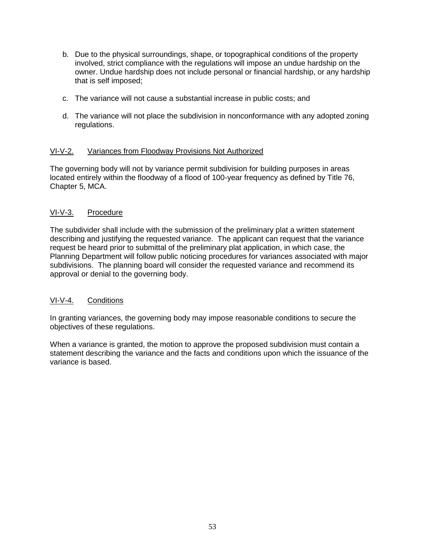- b. Due to the physical surroundings, shape, or topographical conditions of the property involved, strict compliance with the regulations will impose an undue hardship on the owner. Undue hardship does not include personal or financial hardship, or any hardship that is self imposed;
- c. The variance will not cause a substantial increase in public costs; and
- d. The variance will not place the subdivision in nonconformance with any adopted zoning regulations.

#### VI-V-2. Variances from Floodway Provisions Not Authorized

The governing body will not by variance permit subdivision for building purposes in areas located entirely within the floodway of a flood of 100-year frequency as defined by Title 76, Chapter 5, MCA.

#### VI-V-3. Procedure

The subdivider shall include with the submission of the preliminary plat a written statement describing and justifying the requested variance. The applicant can request that the variance request be heard prior to submittal of the preliminary plat application, in which case, the Planning Department will follow public noticing procedures for variances associated with major subdivisions. The planning board will consider the requested variance and recommend its approval or denial to the governing body.

## VI-V-4. Conditions

In granting variances, the governing body may impose reasonable conditions to secure the objectives of these regulations.

When a variance is granted, the motion to approve the proposed subdivision must contain a statement describing the variance and the facts and conditions upon which the issuance of the variance is based.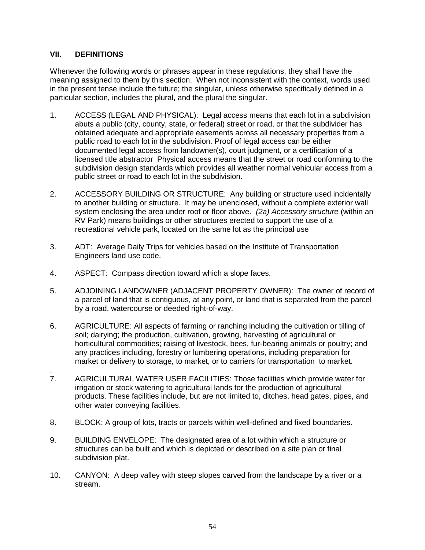## <span id="page-56-0"></span>**VII. DEFINITIONS**

Whenever the following words or phrases appear in these regulations, they shall have the meaning assigned to them by this section. When not inconsistent with the context, words used in the present tense include the future; the singular, unless otherwise specifically defined in a particular section, includes the plural, and the plural the singular.

- 1. ACCESS (LEGAL AND PHYSICAL): Legal access means that each lot in a subdivision abuts a public (city, county, state, or federal) street or road, or that the subdivider has obtained adequate and appropriate easements across all necessary properties from a public road to each lot in the subdivision. Proof of legal access can be either documented legal access from landowner(s), court judgment, or a certification of a licensed title abstractor Physical access means that the street or road conforming to the subdivision design standards which provides all weather normal vehicular access from a public street or road to each lot in the subdivision.
- 2. ACCESSORY BUILDING OR STRUCTURE: Any building or structure used incidentally to another building or structure. It may be unenclosed, without a complete exterior wall system enclosing the area under roof or floor above. *(2a) Accessory structure* (within an RV Park) means buildings or other structures erected to support the use of a recreational vehicle park, located on the same lot as the principal use
- 3. ADT: Average Daily Trips for vehicles based on the Institute of Transportation Engineers land use code.
- 4. ASPECT: Compass direction toward which a slope faces.
- 5. ADJOINING LANDOWNER (ADJACENT PROPERTY OWNER): The owner of record of a parcel of land that is contiguous, at any point, or land that is separated from the parcel by a road, watercourse or deeded right-of-way.
- 6. AGRICULTURE: All aspects of farming or ranching including the cultivation or tilling of soil; dairying; the production, cultivation, growing, harvesting of agricultural or horticultural commodities; raising of livestock, bees, fur-bearing animals or poultry; and any practices including, forestry or lumbering operations, including preparation for market or delivery to storage, to market, or to carriers for transportation to market.
- . 7. AGRICULTURAL WATER USER FACILITIES: Those facilities which provide water for irrigation or stock watering to agricultural lands for the production of agricultural products. These facilities include, but are not limited to, ditches, head gates, pipes, and other water conveying facilities.
- 8. BLOCK: A group of lots, tracts or parcels within well-defined and fixed boundaries.
- 9. BUILDING ENVELOPE: The designated area of a lot within which a structure or structures can be built and which is depicted or described on a site plan or final subdivision plat.
- 10. CANYON: A deep valley with steep slopes carved from the landscape by a [river](http://en.wikipedia.org/wiki/River) or a stream.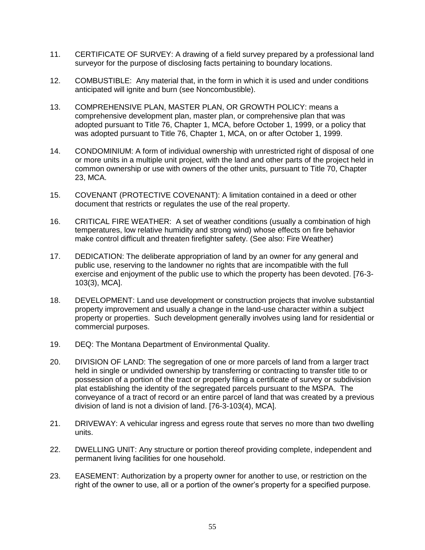- 11. CERTIFICATE OF SURVEY: A drawing of a field survey prepared by a professional land surveyor for the purpose of disclosing facts pertaining to boundary locations.
- 12. COMBUSTIBLE: Any material that, in the form in which it is used and under conditions anticipated will ignite and burn (see Noncombustible).
- 13. COMPREHENSIVE PLAN, MASTER PLAN, OR GROWTH POLICY: means a comprehensive development plan, master plan, or comprehensive plan that was adopted pursuant to Title 76, Chapter 1, MCA, before October 1, 1999, or a policy that was adopted pursuant to Title 76, Chapter 1, MCA, on or after October 1, 1999.
- 14. CONDOMINIUM: A form of individual ownership with unrestricted right of disposal of one or more units in a multiple unit project, with the land and other parts of the project held in common ownership or use with owners of the other units, pursuant to Title 70, Chapter 23, MCA.
- 15. COVENANT (PROTECTIVE COVENANT): A limitation contained in a deed or other document that restricts or regulates the use of the real property.
- 16. CRITICAL FIRE WEATHER: A set of weather conditions (usually a combination of high temperatures, low relative humidity and strong wind) whose effects on fire behavior make control difficult and threaten firefighter safety. (See also: Fire Weather)
- 17. DEDICATION: The deliberate appropriation of land by an owner for any general and public use, reserving to the landowner no rights that are incompatible with the full exercise and enjoyment of the public use to which the property has been devoted. [76-3- 103(3), MCA].
- 18. DEVELOPMENT: Land use development or construction projects that involve substantial property improvement and usually a change in the land-use character within a subject property or properties. Such development generally involves using land for residential or commercial purposes.
- 19. DEQ: The Montana Department of Environmental Quality.
- 20. DIVISION OF LAND: The segregation of one or more parcels of land from a larger tract held in single or undivided ownership by transferring or contracting to transfer title to or possession of a portion of the tract or properly filing a certificate of survey or subdivision plat establishing the identity of the segregated parcels pursuant to the MSPA. The conveyance of a tract of record or an entire parcel of land that was created by a previous division of land is not a division of land. [76-3-103(4), MCA].
- 21. DRIVEWAY: A vehicular ingress and egress route that serves no more than two dwelling units.
- 22. DWELLING UNIT: Any structure or portion thereof providing complete, independent and permanent living facilities for one household.
- 23. EASEMENT: Authorization by a property owner for another to use, or restriction on the right of the owner to use, all or a portion of the owner's property for a specified purpose.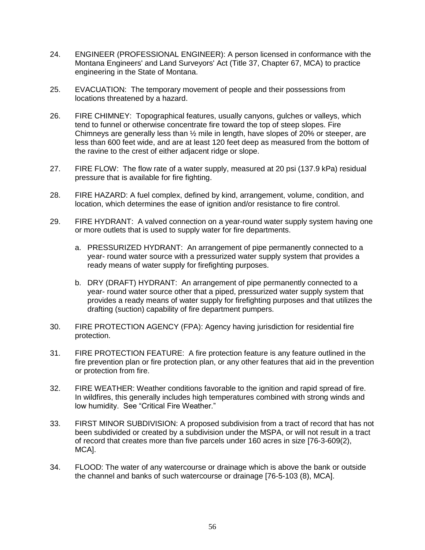- 24. ENGINEER (PROFESSIONAL ENGINEER): A person licensed in conformance with the Montana Engineers' and Land Surveyors' Act (Title 37, Chapter 67, MCA) to practice engineering in the State of Montana.
- 25. EVACUATION: The temporary movement of people and their possessions from locations threatened by a hazard.
- 26. FIRE CHIMNEY: Topographical features, usually canyons, gulches or valleys, which tend to funnel or otherwise concentrate fire toward the top of steep slopes. Fire Chimneys are generally less than ½ mile in length, have slopes of 20% or steeper, are less than 600 feet wide, and are at least 120 feet deep as measured from the bottom of the ravine to the crest of either adjacent ridge or slope.
- 27. FIRE FLOW: The flow rate of a water supply, measured at 20 psi (137.9 kPa) residual pressure that is available for fire fighting.
- 28. FIRE HAZARD: A fuel complex, defined by kind, arrangement, volume, condition, and location, which determines the ease of ignition and/or resistance to fire control.
- 29. FIRE HYDRANT: A valved connection on a year-round water supply system having one or more outlets that is used to supply water for fire departments.
	- a. PRESSURIZED HYDRANT: An arrangement of pipe permanently connected to a year- round water source with a pressurized water supply system that provides a ready means of water supply for firefighting purposes.
	- b. DRY (DRAFT) HYDRANT: An arrangement of pipe permanently connected to a year- round water source other that a piped, pressurized water supply system that provides a ready means of water supply for firefighting purposes and that utilizes the drafting (suction) capability of fire department pumpers.
- 30. FIRE PROTECTION AGENCY (FPA): Agency having jurisdiction for residential fire protection.
- 31. FIRE PROTECTION FEATURE: A fire protection feature is any feature outlined in the fire prevention plan or fire protection plan, or any other features that aid in the prevention or protection from fire.
- 32. FIRE WEATHER: Weather conditions favorable to the ignition and rapid spread of fire. In wildfires, this generally includes high temperatures combined with strong winds and low humidity. See "Critical Fire Weather."
- 33. FIRST MINOR SUBDIVISION: A proposed subdivision from a tract of record that has not been subdivided or created by a subdivision under the MSPA, or will not result in a tract of record that creates more than five parcels under 160 acres in size [76-3-609(2), MCA].
- 34. FLOOD: The water of any watercourse or drainage which is above the bank or outside the channel and banks of such watercourse or drainage [76-5-103 (8), MCA].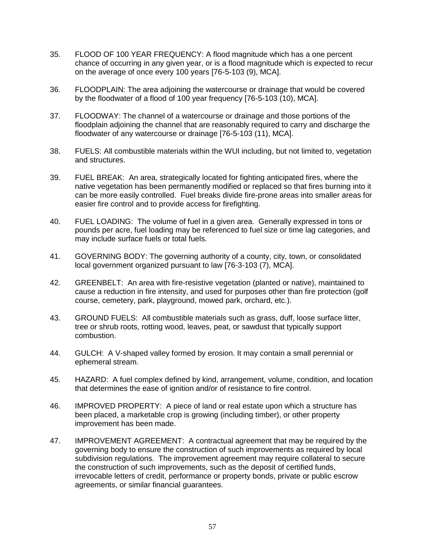- 35. FLOOD OF 100 YEAR FREQUENCY: A flood magnitude which has a one percent chance of occurring in any given year, or is a flood magnitude which is expected to recur on the average of once every 100 years [76-5-103 (9), MCA].
- 36. FLOODPLAIN: The area adjoining the watercourse or drainage that would be covered by the floodwater of a flood of 100 year frequency [76-5-103 (10), MCA].
- 37. FLOODWAY: The channel of a watercourse or drainage and those portions of the floodplain adjoining the channel that are reasonably required to carry and discharge the floodwater of any watercourse or drainage [76-5-103 (11), MCA].
- 38. FUELS: All combustible materials within the WUI including, but not limited to, vegetation and structures.
- 39. FUEL BREAK: An area, strategically located for fighting anticipated fires, where the native vegetation has been permanently modified or replaced so that fires burning into it can be more easily controlled. Fuel breaks divide fire-prone areas into smaller areas for easier fire control and to provide access for firefighting.
- 40. FUEL LOADING: The volume of fuel in a given area. Generally expressed in tons or pounds per acre, fuel loading may be referenced to fuel size or time lag categories, and may include surface fuels or total fuels.
- 41. GOVERNING BODY: The governing authority of a county, city, town, or consolidated local government organized pursuant to law [76-3-103 (7), MCA].
- 42. GREENBELT: An area with fire-resistive vegetation (planted or native), maintained to cause a reduction in fire intensity, and used for purposes other than fire protection (golf course, cemetery, park, playground, mowed park, orchard, etc.).
- 43. GROUND FUELS: All combustible materials such as grass, duff, loose surface litter, tree or shrub roots, rotting wood, leaves, peat, or sawdust that typically support combustion.
- 44. GULCH: A V-shaped valley formed by [erosion.](http://en.wikipedia.org/wiki/Erosion) It may contain a small perennial or ephemeral stream.
- 45. HAZARD: A fuel complex defined by kind, arrangement, volume, condition, and location that determines the ease of ignition and/or of resistance to fire control.
- 46. IMPROVED PROPERTY: A piece of land or real estate upon which a structure has been placed, a marketable crop is growing (including timber), or other property improvement has been made.
- 47. IMPROVEMENT AGREEMENT: A contractual agreement that may be required by the governing body to ensure the construction of such improvements as required by local subdivision regulations. The improvement agreement may require collateral to secure the construction of such improvements, such as the deposit of certified funds, irrevocable letters of credit, performance or property bonds, private or public escrow agreements, or similar financial guarantees.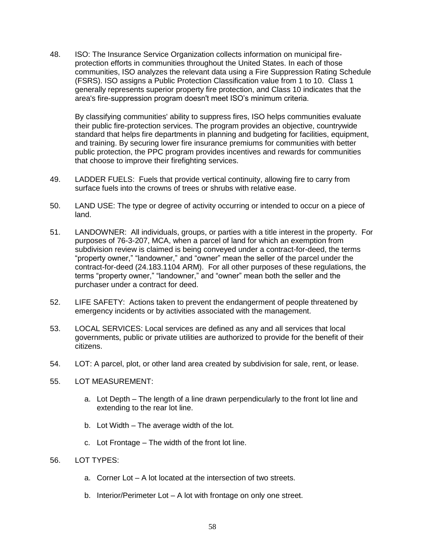48. ISO: The Insurance Service Organization collects information on municipal fireprotection efforts in communities throughout the United States. In each of those communities, ISO analyzes the relevant data using a Fire Suppression Rating Schedule (FSRS). ISO assigns a Public Protection Classification value from 1 to 10. Class 1 generally represents superior property fire protection, and Class 10 indicates that the area's fire-suppression program doesn't meet ISO's minimum criteria.

By classifying communities' ability to suppress fires, ISO helps communities evaluate their public fire-protection services. The program provides an objective, countrywide standard that helps fire departments in planning and budgeting for facilities, equipment, and training. By securing lower fire insurance premiums for communities with better public protection, the PPC program provides incentives and rewards for communities that choose to improve their firefighting services.

- 49. LADDER FUELS: Fuels that provide vertical continuity, allowing fire to carry from surface fuels into the crowns of trees or shrubs with relative ease.
- 50. LAND USE: The type or degree of activity occurring or intended to occur on a piece of land.
- 51. LANDOWNER: All individuals, groups, or parties with a title interest in the property. For purposes of 76-3-207, MCA, when a parcel of land for which an exemption from subdivision review is claimed is being conveyed under a contract-for-deed, the terms "property owner," "landowner," and "owner" mean the seller of the parcel under the contract-for-deed (24.183.1104 ARM). For all other purposes of these regulations, the terms "property owner," "landowner," and "owner" mean both the seller and the purchaser under a contract for deed.
- 52. LIFE SAFETY: Actions taken to prevent the endangerment of people threatened by emergency incidents or by activities associated with the management.
- 53. LOCAL SERVICES: Local services are defined as any and all services that local governments, public or private utilities are authorized to provide for the benefit of their citizens.
- 54. LOT: A parcel, plot, or other land area created by subdivision for sale, rent, or lease.
- 55. LOT MEASUREMENT:
	- a. Lot Depth The length of a line drawn perpendicularly to the front lot line and extending to the rear lot line.
	- b. Lot Width The average width of the lot.
	- c. Lot Frontage The width of the front lot line.
- 56. LOT TYPES:
	- a. Corner Lot A lot located at the intersection of two streets.
	- b. Interior/Perimeter Lot A lot with frontage on only one street.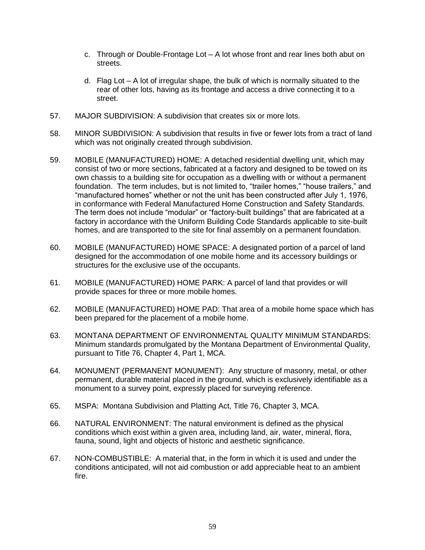- c. Through or Double-Frontage Lot A lot whose front and rear lines both abut on streets.
- d. Flag Lot A lot of irregular shape, the bulk of which is normally situated to the rear of other lots, having as its frontage and access a drive connecting it to a street.
- 57. MAJOR SUBDIVISION: A subdivision that creates six or more lots.
- 58. MINOR SUBDIVISION: A subdivision that results in five or fewer lots from a tract of land which was not originally created through subdivision.
- 59. MOBILE (MANUFACTURED) HOME: A detached residential dwelling unit, which may consist of two or more sections, fabricated at a factory and designed to be towed on its own chassis to a building site for occupation as a dwelling with or without a permanent foundation. The term includes, but is not limited to, "trailer homes," "house trailers," and "manufactured homes" whether or not the unit has been constructed after July 1, 1976, in conformance with Federal Manufactured Home Construction and Safety Standards. The term does not include "modular" or "factory-built buildings" that are fabricated at a factory in accordance with the Uniform Building Code Standards applicable to site-built homes, and are transported to the site for final assembly on a permanent foundation.
- 60. MOBILE (MANUFACTURED) HOME SPACE: A designated portion of a parcel of land designed for the accommodation of one mobile home and its accessory buildings or structures for the exclusive use of the occupants.
- 61. MOBILE (MANUFACTURED) HOME PARK: A parcel of land that provides or will provide spaces for three or more mobile homes.
- 62. MOBILE (MANUFACTURED) HOME PAD: That area of a mobile home space which has been prepared for the placement of a mobile home.
- 63. MONTANA DEPARTMENT OF ENVIRONMENTAL QUALITY MINIMUM STANDARDS: Minimum standards promulgated by the Montana Department of Environmental Quality, pursuant to Title 76, Chapter 4, Part 1, MCA.
- 64. MONUMENT (PERMANENT MONUMENT): Any structure of masonry, metal, or other permanent, durable material placed in the ground, which is exclusively identifiable as a monument to a survey point, expressly placed for surveying reference.
- 65. MSPA: Montana Subdivision and Platting Act, Title 76, Chapter 3, MCA.
- 66. NATURAL ENVIRONMENT: The natural environment is defined as the physical conditions which exist within a given area, including land, air, water, mineral, flora, fauna, sound, light and objects of historic and aesthetic significance.
- 67. NON-COMBUSTIBLE: A material that, in the form in which it is used and under the conditions anticipated, will not aid combustion or add appreciable heat to an ambient fire.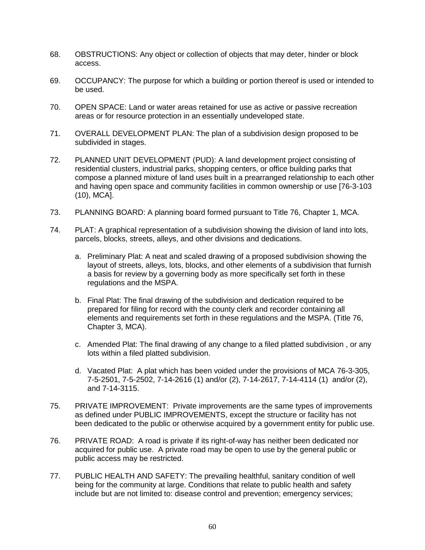- 68. OBSTRUCTIONS: Any object or collection of objects that may deter, hinder or block access.
- 69. OCCUPANCY: The purpose for which a building or portion thereof is used or intended to be used.
- 70. OPEN SPACE: Land or water areas retained for use as active or passive recreation areas or for resource protection in an essentially undeveloped state.
- 71. OVERALL DEVELOPMENT PLAN: The plan of a subdivision design proposed to be subdivided in stages.
- 72. PLANNED UNIT DEVELOPMENT (PUD): A land development project consisting of residential clusters, industrial parks, shopping centers, or office building parks that compose a planned mixture of land uses built in a prearranged relationship to each other and having open space and community facilities in common ownership or use [76-3-103 (10), MCA].
- 73. PLANNING BOARD: A planning board formed pursuant to Title 76, Chapter 1, MCA.
- 74. PLAT: A graphical representation of a subdivision showing the division of land into lots, parcels, blocks, streets, alleys, and other divisions and dedications.
	- a. Preliminary Plat: A neat and scaled drawing of a proposed subdivision showing the layout of streets, alleys, lots, blocks, and other elements of a subdivision that furnish a basis for review by a governing body as more specifically set forth in these regulations and the MSPA.
	- b. Final Plat: The final drawing of the subdivision and dedication required to be prepared for filing for record with the county clerk and recorder containing all elements and requirements set forth in these regulations and the MSPA. (Title 76, Chapter 3, MCA).
	- c. Amended Plat: The final drawing of any change to a filed platted subdivision , or any lots within a filed platted subdivision.
	- d. Vacated Plat: A plat which has been voided under the provisions of MCA 76-3-305, 7-5-2501, 7-5-2502, 7-14-2616 (1) and/or (2), 7-14-2617, 7-14-4114 (1) and/or (2), and 7-14-3115.
- 75. PRIVATE IMPROVEMENT: Private improvements are the same types of improvements as defined under PUBLIC IMPROVEMENTS, except the structure or facility has not been dedicated to the public or otherwise acquired by a government entity for public use.
- 76. PRIVATE ROAD: A road is private if its right-of-way has neither been dedicated nor acquired for public use. A private road may be open to use by the general public or public access may be restricted.
- 77. PUBLIC HEALTH AND SAFETY: The prevailing healthful, sanitary condition of well being for the community at large. Conditions that relate to public health and safety include but are not limited to: disease control and prevention; emergency services;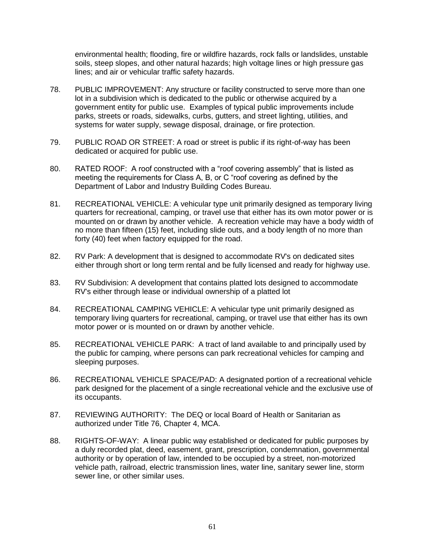environmental health; flooding, fire or wildfire hazards, rock falls or landslides, unstable soils, steep slopes, and other natural hazards; high voltage lines or high pressure gas lines; and air or vehicular traffic safety hazards.

- 78. PUBLIC IMPROVEMENT: Any structure or facility constructed to serve more than one lot in a subdivision which is dedicated to the public or otherwise acquired by a government entity for public use. Examples of typical public improvements include parks, streets or roads, sidewalks, curbs, gutters, and street lighting, utilities, and systems for water supply, sewage disposal, drainage, or fire protection.
- 79. PUBLIC ROAD OR STREET: A road or street is public if its right-of-way has been dedicated or acquired for public use.
- 80. RATED ROOF: A roof constructed with a "roof covering assembly" that is listed as meeting the requirements for Class A, B, or C "roof covering as defined by the Department of Labor and Industry Building Codes Bureau.
- 81. RECREATIONAL VEHICLE: A vehicular type unit primarily designed as temporary living quarters for recreational, camping, or travel use that either has its own motor power or is mounted on or drawn by another vehicle. A recreation vehicle may have a body width of no more than fifteen (15) feet, including slide outs, and a body length of no more than forty (40) feet when factory equipped for the road.
- 82. RV Park: A development that is designed to accommodate RV's on dedicated sites either through short or long term rental and be fully licensed and ready for highway use.
- 83. RV Subdivision: A development that contains platted lots designed to accommodate RV's either through lease or individual ownership of a platted lot
- 84. RECREATIONAL CAMPING VEHICLE: A vehicular type unit primarily designed as temporary living quarters for recreational, camping, or travel use that either has its own motor power or is mounted on or drawn by another vehicle.
- 85. RECREATIONAL VEHICLE PARK: A tract of land available to and principally used by the public for camping, where persons can park recreational vehicles for camping and sleeping purposes.
- 86. RECREATIONAL VEHICLE SPACE/PAD: A designated portion of a recreational vehicle park designed for the placement of a single recreational vehicle and the exclusive use of its occupants.
- 87. REVIEWING AUTHORITY: The DEQ or local Board of Health or Sanitarian as authorized under Title 76, Chapter 4, MCA.
- 88. RIGHTS-OF-WAY: A linear public way established or dedicated for public purposes by a duly recorded plat, deed, easement, grant, prescription, condemnation, governmental authority or by operation of law, intended to be occupied by a street, non-motorized vehicle path, railroad, electric transmission lines, water line, sanitary sewer line, storm sewer line, or other similar uses.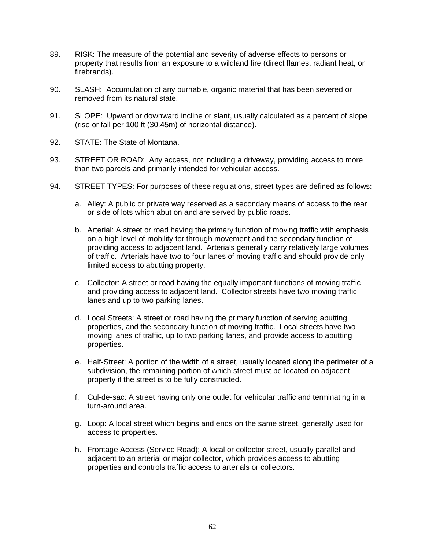- 89. RISK: The measure of the potential and severity of adverse effects to persons or property that results from an exposure to a wildland fire (direct flames, radiant heat, or firebrands).
- 90. SLASH: Accumulation of any burnable, organic material that has been severed or removed from its natural state.
- 91. SLOPE: Upward or downward incline or slant, usually calculated as a percent of slope (rise or fall per 100 ft (30.45m) of horizontal distance).
- 92. STATE: The State of Montana.
- 93. STREET OR ROAD: Any access, not including a driveway, providing access to more than two parcels and primarily intended for vehicular access.
- 94. STREET TYPES: For purposes of these regulations, street types are defined as follows:
	- a. Alley: A public or private way reserved as a secondary means of access to the rear or side of lots which abut on and are served by public roads.
	- b. Arterial: A street or road having the primary function of moving traffic with emphasis on a high level of mobility for through movement and the secondary function of providing access to adjacent land. Arterials generally carry relatively large volumes of traffic. Arterials have two to four lanes of moving traffic and should provide only limited access to abutting property.
	- c. Collector: A street or road having the equally important functions of moving traffic and providing access to adjacent land. Collector streets have two moving traffic lanes and up to two parking lanes.
	- d. Local Streets: A street or road having the primary function of serving abutting properties, and the secondary function of moving traffic. Local streets have two moving lanes of traffic, up to two parking lanes, and provide access to abutting properties.
	- e. Half-Street: A portion of the width of a street, usually located along the perimeter of a subdivision, the remaining portion of which street must be located on adjacent property if the street is to be fully constructed.
	- f. Cul-de-sac: A street having only one outlet for vehicular traffic and terminating in a turn-around area.
	- g. Loop: A local street which begins and ends on the same street, generally used for access to properties.
	- h. Frontage Access (Service Road): A local or collector street, usually parallel and adjacent to an arterial or major collector, which provides access to abutting properties and controls traffic access to arterials or collectors.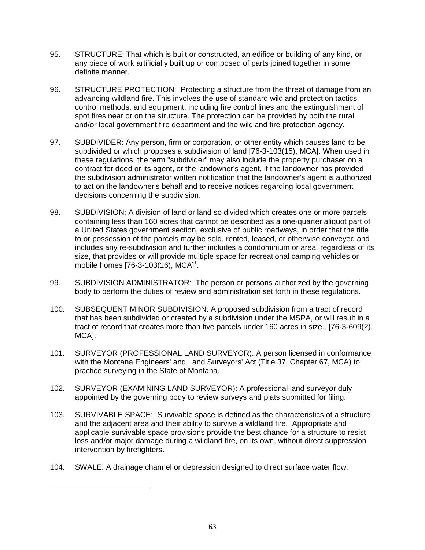- 95. STRUCTURE: That which is built or constructed, an edifice or building of any kind, or any piece of work artificially built up or composed of parts joined together in some definite manner.
- 96. STRUCTURE PROTECTION:Protecting a structure from the threat of damage from an advancing wildland fire. This involves the use of standard wildland protection tactics, control methods, and equipment, including fire control lines and the extinguishment of spot fires near or on the structure. The protection can be provided by both the rural and/or local government fire department and the wildland fire protection agency.
- 97. SUBDIVIDER: Any person, firm or corporation, or other entity which causes land to be subdivided or which proposes a subdivision of land [76-3-103(15), MCA]. When used in these regulations, the term "subdivider" may also include the property purchaser on a contract for deed or its agent, or the landowner's agent, if the landowner has provided the subdivision administrator written notification that the landowner's agent is authorized to act on the landowner's behalf and to receive notices regarding local government decisions concerning the subdivision.
- 98. SUBDIVISION: A division of land or land so divided which creates one or more parcels containing less than 160 acres that cannot be described as a one-quarter aliquot part of a United States government section, exclusive of public roadways, in order that the title to or possession of the parcels may be sold, rented, leased, or otherwise conveyed and includes any re-subdivision and further includes a condominium or area, regardless of its size, that provides or will provide multiple space for recreational camping vehicles or mobile homes  $[76-3-103(16), MCA]$ <sup>1</sup>.
- 99. SUBDIVISION ADMINISTRATOR: The person or persons authorized by the governing body to perform the duties of review and administration set forth in these regulations.
- 100. SUBSEQUENT MINOR SUBDIVISION: A proposed subdivision from a tract of record that has been subdivided or created by a subdivision under the MSPA, or will result in a tract of record that creates more than five parcels under 160 acres in size.. [76-3-609(2), MCA].
- 101. SURVEYOR (PROFESSIONAL LAND SURVEYOR): A person licensed in conformance with the Montana Engineers' and Land Surveyors' Act (Title 37, Chapter 67, MCA) to practice surveying in the State of Montana.
- 102. SURVEYOR (EXAMINING LAND SURVEYOR): A professional land surveyor duly appointed by the governing body to review surveys and plats submitted for filing.
- 103. SURVIVABLE SPACE: Survivable space is defined as the characteristics of a structure and the adjacent area and their ability to survive a wildland fire. Appropriate and applicable survivable space provisions provide the best chance for a structure to resist loss and/or major damage during a wildland fire, on its own, without direct suppression intervention by firefighters.
- 104. SWALE: A drainage channel or depression designed to direct surface water flow.

 $\overline{a}$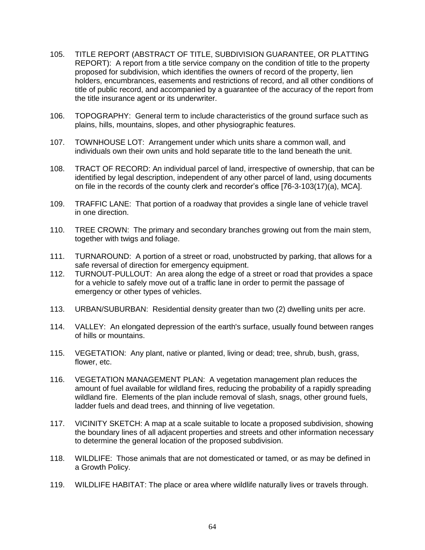- 105. TITLE REPORT (ABSTRACT OF TITLE, SUBDIVISION GUARANTEE, OR PLATTING REPORT): A report from a title service company on the condition of title to the property proposed for subdivision, which identifies the owners of record of the property, lien holders, encumbrances, easements and restrictions of record, and all other conditions of title of public record, and accompanied by a guarantee of the accuracy of the report from the title insurance agent or its underwriter.
- 106. TOPOGRAPHY: General term to include characteristics of the ground surface such as plains, hills, mountains, slopes, and other physiographic features.
- 107. TOWNHOUSE LOT: Arrangement under which units share a common wall, and individuals own their own units and hold separate title to the land beneath the unit.
- 108. TRACT OF RECORD: An individual parcel of land, irrespective of ownership, that can be identified by legal description, independent of any other parcel of land, using documents on file in the records of the county clerk and recorder's office [76-3-103(17)(a), MCA].
- 109. TRAFFIC LANE: That portion of a roadway that provides a single lane of vehicle travel in one direction.
- 110. TREE CROWN: The primary and secondary branches growing out from the main stem, together with twigs and foliage.
- 111. TURNAROUND: A portion of a street or road, unobstructed by parking, that allows for a safe reversal of direction for emergency equipment.
- 112. TURNOUT-PULLOUT: An area along the edge of a street or road that provides a space for a vehicle to safely move out of a traffic lane in order to permit the passage of emergency or other types of vehicles.
- 113. URBAN/SUBURBAN: Residential density greater than two (2) dwelling units per acre.
- 114. VALLEY: An elongated depression of the earth's surface, usually found between ranges of hills or mountains.
- 115. VEGETATION: Any plant, native or planted, living or dead; tree, shrub, bush, grass, flower, etc.
- 116. VEGETATION MANAGEMENT PLAN: A vegetation management plan reduces the amount of fuel available for wildland fires, reducing the probability of a rapidly spreading wildland fire. Elements of the plan include removal of slash, snags, other ground fuels, ladder fuels and dead trees, and thinning of live vegetation.
- 117. VICINITY SKETCH: A map at a scale suitable to locate a proposed subdivision, showing the boundary lines of all adjacent properties and streets and other information necessary to determine the general location of the proposed subdivision.
- 118. WILDLIFE: Those animals that are not domesticated or tamed, or as may be defined in a Growth Policy.
- 119. WILDLIFE HABITAT: The place or area where wildlife naturally lives or travels through.